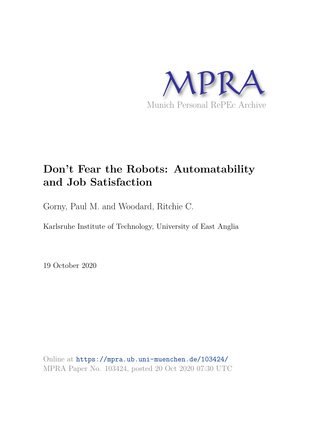

# **Don't Fear the Robots: Automatability and Job Satisfaction**

Gorny, Paul M. and Woodard, Ritchie C.

Karlsruhe Institute of Technology, University of East Anglia

19 October 2020

Online at https://mpra.ub.uni-muenchen.de/103424/ MPRA Paper No. 103424, posted 20 Oct 2020 07:30 UTC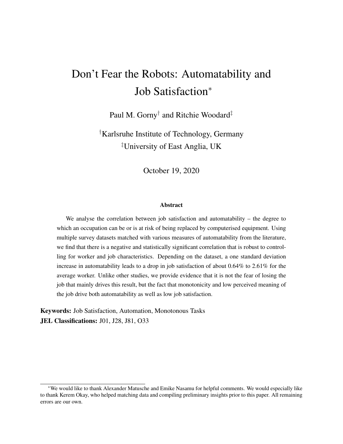# Don't Fear the Robots: Automatability and Job Satisfaction<sup>∗</sup>

Paul M. Gorny† and Ritchie Woodard‡

†Karlsruhe Institute of Technology, Germany ‡University of East Anglia, UK

October 19, 2020

#### Abstract

We analyse the correlation between job satisfaction and automatability – the degree to which an occupation can be or is at risk of being replaced by computerised equipment. Using multiple survey datasets matched with various measures of automatability from the literature, we find that there is a negative and statistically significant correlation that is robust to controlling for worker and job characteristics. Depending on the dataset, a one standard deviation increase in automatability leads to a drop in job satisfaction of about  $0.64\%$  to  $2.61\%$  for the average worker. Unlike other studies, we provide evidence that it is not the fear of losing the job that mainly drives this result, but the fact that monotonicity and low perceived meaning of the job drive both automatability as well as low job satisfaction.

Keywords: Job Satisfaction, Automation, Monotonous Tasks JEL Classifications: J01, J28, J81, O33

<sup>∗</sup>We would like to thank Alexander Matusche and Emike Nasamu for helpful comments. We would especially like to thank Kerem Okay, who helped matching data and compiling preliminary insights prior to this paper. All remaining errors are our own.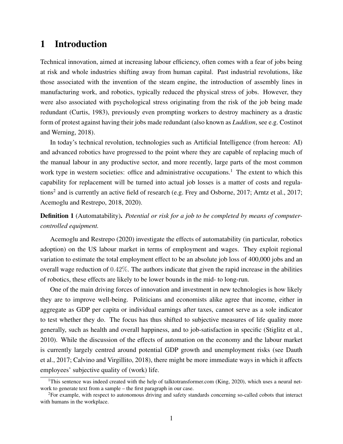# 1 Introduction

Technical innovation, aimed at increasing labour efficiency, often comes with a fear of jobs being at risk and whole industries shifting away from human capital. Past industrial revolutions, like those associated with the invention of the steam engine, the introduction of assembly lines in manufacturing work, and robotics, typically reduced the physical stress of jobs. However, they were also associated with psychological stress originating from the risk of the job being made redundant (Curtis, 1983), previously even prompting workers to destroy machinery as a drastic form of protest against having their jobs made redundant (also known as *Luddism*, see e.g. Costinot and Werning, 2018).

In today's technical revolution, technologies such as Artificial Intelligence (from hereon: AI) and advanced robotics have progressed to the point where they are capable of replacing much of the manual labour in any productive sector, and more recently, large parts of the most common work type in western societies: office and administrative occupations.<sup>1</sup> The extent to which this capability for replacement will be turned into actual job losses is a matter of costs and regulations<sup>2</sup> and is currently an active field of research (e.g. Frey and Osborne, 2017; Arntz et al., 2017; Acemoglu and Restrepo, 2018, 2020).

### Definition 1 (Automatability). *Potential or risk for a job to be completed by means of computercontrolled equipment.*

Acemoglu and Restrepo (2020) investigate the effects of automatability (in particular, robotics adoption) on the US labour market in terms of employment and wages. They exploit regional variation to estimate the total employment effect to be an absolute job loss of 400,000 jobs and an overall wage reduction of 0.42%. The authors indicate that given the rapid increase in the abilities of robotics, these effects are likely to be lower bounds in the mid- to long-run.

One of the main driving forces of innovation and investment in new technologies is how likely they are to improve well-being. Politicians and economists alike agree that income, either in aggregate as GDP per capita or individual earnings after taxes, cannot serve as a sole indicator to test whether they do. The focus has thus shifted to subjective measures of life quality more generally, such as health and overall happiness, and to job-satisfaction in specific (Stiglitz et al., 2010). While the discussion of the effects of automation on the economy and the labour market is currently largely centred around potential GDP growth and unemployment risks (see Dauth et al., 2017; Calvino and Virgillito, 2018), there might be more immediate ways in which it affects employees' subjective quality of (work) life.

<sup>&</sup>lt;sup>1</sup>This sentence was indeed created with the help of talktotransformer.com (King, 2020), which uses a neural network to generate text from a sample – the first paragraph in our case.

<sup>&</sup>lt;sup>2</sup>For example, with respect to autonomous driving and safety standards concerning so-called cobots that interact with humans in the workplace.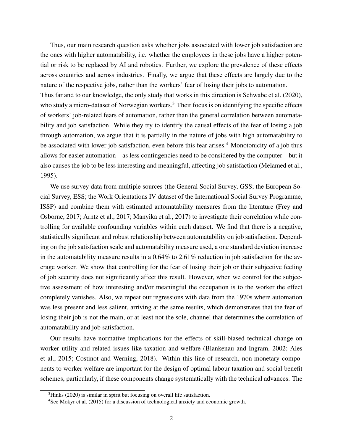Thus, our main research question asks whether jobs associated with lower job satisfaction are the ones with higher automatability, i.e. whether the employees in these jobs have a higher potential or risk to be replaced by AI and robotics. Further, we explore the prevalence of these effects across countries and across industries. Finally, we argue that these effects are largely due to the nature of the respective jobs, rather than the workers' fear of losing their jobs to automation. Thus far and to our knowledge, the only study that works in this direction is Schwabe et al. (2020), who study a micro-dataset of Norwegian workers.<sup>3</sup> Their focus is on identifying the specific effects of workers' job-related fears of automation, rather than the general correlation between automatability and job satisfaction. While they try to identify the causal effects of the fear of losing a job through automation, we argue that it is partially in the nature of jobs with high automatability to be associated with lower job satisfaction, even before this fear arises.<sup>4</sup> Monotonicity of a job thus allows for easier automation – as less contingencies need to be considered by the computer – but it also causes the job to be less interesting and meaningful, affecting job satisfaction (Melamed et al., 1995).

We use survey data from multiple sources (the General Social Survey, GSS; the European Social Survey, ESS; the Work Orientations IV dataset of the International Social Survey Programme, ISSP) and combine them with estimated automatability measures from the literature (Frey and Osborne, 2017; Arntz et al., 2017; Manyika et al., 2017) to investigate their correlation while controlling for available confounding variables within each dataset. We find that there is a negative, statistically significant and robust relationship between automatability on job satisfaction. Depending on the job satisfaction scale and automatability measure used, a one standard deviation increase in the automatability measure results in a 0.64% to 2.61% reduction in job satisfaction for the average worker. We show that controlling for the fear of losing their job or their subjective feeling of job security does not significantly affect this result. However, when we control for the subjective assessment of how interesting and/or meaningful the occupation is to the worker the effect completely vanishes. Also, we repeat our regressions with data from the 1970s where automation was less present and less salient, arriving at the same results, which demonstrates that the fear of losing their job is not the main, or at least not the sole, channel that determines the correlation of automatability and job satisfaction.

Our results have normative implications for the effects of skill-biased technical change on worker utility and related issues like taxation and welfare (Blankenau and Ingram, 2002; Ales et al., 2015; Costinot and Werning, 2018). Within this line of research, non-monetary components to worker welfare are important for the design of optimal labour taxation and social benefit schemes, particularly, if these components change systematically with the technical advances. The

 $3$ Hinks (2020) is similar in spirit but focusing on overall life satisfaction.

<sup>4</sup>See Mokyr et al. (2015) for a discussion of technological anxiety and economic growth.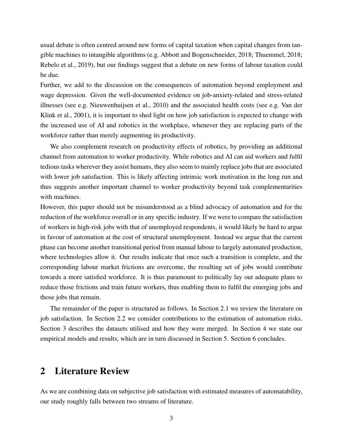usual debate is often centred around new forms of capital taxation when capital changes from tangible machines to intangible algorithms (e.g. Abbott and Bogenschneider, 2018; Thuemmel, 2018; Rebelo et al., 2019), but our findings suggest that a debate on new forms of labour taxation could be due.

Further, we add to the discussion on the consequences of automation beyond employment and wage depression. Given the well-documented evidence on job-anxiety-related and stress-related illnesses (see e.g. Nieuwenhuijsen et al., 2010) and the associated health costs (see e.g. Van der Klink et al., 2001), it is important to shed light on how job satisfaction is expected to change with the increased use of AI and robotics in the workplace, whenever they are replacing parts of the workforce rather than merely augmenting its productivity.

We also complement research on productivity effects of robotics, by providing an additional channel from automation to worker productivity. While robotics and AI can aid workers and fulfil tedious tasks wherever they assist humans, they also seem to mainly replace jobs that are associated with lower job satisfaction. This is likely affecting intrinsic work motivation in the long run and thus suggests another important channel to worker productivity beyond task complementarities with machines.

However, this paper should not be misunderstood as a blind advocacy of automation and for the reduction of the workforce overall or in any specific industry. If we were to compare the satisfaction of workers in high-risk jobs with that of unemployed respondents, it would likely be hard to argue in favour of automation at the cost of structural unemployment. Instead we argue that the current phase can become another transitional period from manual labour to largely automated production, where technologies allow it. Our results indicate that once such a transition is complete, and the corresponding labour market frictions are overcome, the resulting set of jobs would contribute towards a more satisfied workforce. It is thus paramount to politically lay out adequate plans to reduce those frictions and train future workers, thus enabling them to fulfil the emerging jobs and those jobs that remain.

The remainder of the paper is structured as follows. In Section 2.1 we review the literature on job satisfaction. In Section 2.2 we consider contributions to the estimation of automation risks. Section 3 describes the datasets utilised and how they were merged. In Section 4 we state our empirical models and results, which are in turn discussed in Section 5. Section 6 concludes.

# 2 Literature Review

As we are combining data on subjective job satisfaction with estimated measures of automatability, our study roughly falls between two streams of literature.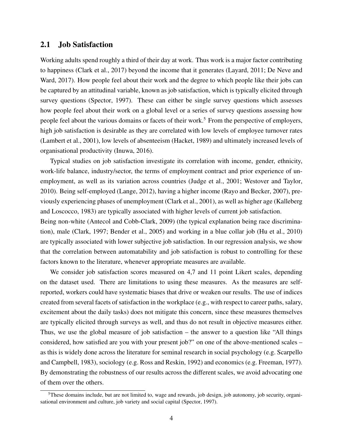### 2.1 Job Satisfaction

Working adults spend roughly a third of their day at work. Thus work is a major factor contributing to happiness (Clark et al., 2017) beyond the income that it generates (Layard, 2011; De Neve and Ward, 2017). How people feel about their work and the degree to which people like their jobs can be captured by an attitudinal variable, known as job satisfaction, which is typically elicited through survey questions (Spector, 1997). These can either be single survey questions which assesses how people feel about their work on a global level or a series of survey questions assessing how people feel about the various domains or facets of their work.<sup>5</sup> From the perspective of employers, high job satisfaction is desirable as they are correlated with low levels of employee turnover rates (Lambert et al., 2001), low levels of absenteeism (Hacket, 1989) and ultimately increased levels of organisational productivity (Inuwa, 2016).

Typical studies on job satisfaction investigate its correlation with income, gender, ethnicity, work-life balance, industry/sector, the terms of employment contract and prior experience of unemployment, as well as its variation across countries (Judge et al., 2001; Westover and Taylor, 2010). Being self-employed (Lange, 2012), having a higher income (Rayo and Becker, 2007), previously experiencing phases of unemployment (Clark et al., 2001), as well as higher age (Kalleberg and Loscocco, 1983) are typically associated with higher levels of current job satisfaction.

Being non-white (Antecol and Cobb-Clark, 2009) (the typical explanation being race discrimination), male (Clark, 1997; Bender et al., 2005) and working in a blue collar job (Hu et al., 2010) are typically associated with lower subjective job satisfaction. In our regression analysis, we show that the correlation between automatability and job satisfaction is robust to controlling for these factors known to the literature, whenever appropriate measures are available.

We consider job satisfaction scores measured on 4,7 and 11 point Likert scales, depending on the dataset used. There are limitations to using these measures. As the measures are selfreported, workers could have systematic biases that drive or weaken our results. The use of indices created from several facets of satisfaction in the workplace (e.g., with respect to career paths, salary, excitement about the daily tasks) does not mitigate this concern, since these measures themselves are typically elicited through surveys as well, and thus do not result in objective measures either. Thus, we use the global measure of job satisfaction – the answer to a question like "All things considered, how satisfied are you with your present job?" on one of the above-mentioned scales – as this is widely done across the literature for seminal research in social psychology (e.g. Scarpello and Campbell, 1983), sociology (e.g. Ross and Reskin, 1992) and economics (e.g. Freeman, 1977). By demonstrating the robustness of our results across the different scales, we avoid advocating one of them over the others.

<sup>&</sup>lt;sup>5</sup>These domains include, but are not limited to, wage and rewards, job design, job autonomy, job security, organisational environment and culture, job variety and social capital (Spector, 1997).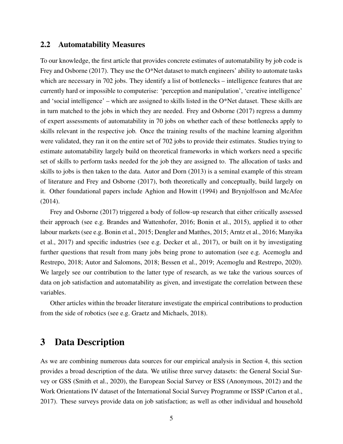### 2.2 Automatability Measures

To our knowledge, the first article that provides concrete estimates of automatability by job code is Frey and Osborne (2017). They use the O\*Net dataset to match engineers' ability to automate tasks which are necessary in 702 jobs. They identify a list of bottlenecks – intelligence features that are currently hard or impossible to computerise: 'perception and manipulation', 'creative intelligence' and 'social intelligence' – which are assigned to skills listed in the O\*Net dataset. These skills are in turn matched to the jobs in which they are needed. Frey and Osborne (2017) regress a dummy of expert assessments of automatability in 70 jobs on whether each of these bottlenecks apply to skills relevant in the respective job. Once the training results of the machine learning algorithm were validated, they ran it on the entire set of 702 jobs to provide their estimates. Studies trying to estimate automatability largely build on theoretical frameworks in which workers need a specific set of skills to perform tasks needed for the job they are assigned to. The allocation of tasks and skills to jobs is then taken to the data. Autor and Dorn (2013) is a seminal example of this stream of literature and Frey and Osborne (2017), both theoretically and conceptually, build largely on it. Other foundational papers include Aghion and Howitt (1994) and Brynjolfsson and McAfee (2014).

Frey and Osborne (2017) triggered a body of follow-up research that either critically assessed their approach (see e.g. Brandes and Wattenhofer, 2016; Bonin et al., 2015), applied it to other labour markets (see e.g. Bonin et al., 2015; Dengler and Matthes, 2015; Arntz et al., 2016; Manyika et al., 2017) and specific industries (see e.g. Decker et al., 2017), or built on it by investigating further questions that result from many jobs being prone to automation (see e.g. Acemoglu and Restrepo, 2018; Autor and Salomons, 2018; Bessen et al., 2019; Acemoglu and Restrepo, 2020). We largely see our contribution to the latter type of research, as we take the various sources of data on job satisfaction and automatability as given, and investigate the correlation between these variables.

Other articles within the broader literature investigate the empirical contributions to production from the side of robotics (see e.g. Graetz and Michaels, 2018).

## 3 Data Description

As we are combining numerous data sources for our empirical analysis in Section 4, this section provides a broad description of the data. We utilise three survey datasets: the General Social Survey or GSS (Smith et al., 2020), the European Social Survey or ESS (Anonymous, 2012) and the Work Orientations IV dataset of the International Social Survey Programme or ISSP (Carton et al., 2017). These surveys provide data on job satisfaction; as well as other individual and household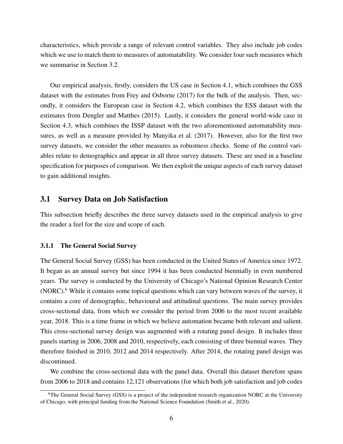characteristics, which provide a range of relevant control variables. They also include job codes which we use to match them to measures of automatability. We consider four such measures which we summarise in Section 3.2.

Our empirical analysis, firstly, considers the US case in Section 4.1, which combines the GSS dataset with the estimates from Frey and Osborne (2017) for the bulk of the analysis. Then, secondly, it considers the European case in Section 4.2, which combines the ESS dataset with the estimates from Dengler and Matthes (2015). Lastly, it considers the general world-wide case in Section 4.3, which combines the ISSP dataset with the two aforementioned automatability measures, as well as a measure provided by Manyika et al. (2017). However, also for the first two survey datasets, we consider the other measures as robustness checks. Some of the control variables relate to demographics and appear in all three survey datasets. These are used in a baseline specification for purposes of comparison. We then exploit the unique aspects of each survey dataset to gain additional insights.

### 3.1 Survey Data on Job Satisfaction

This subsection briefly describes the three survey datasets used in the empirical analysis to give the reader a feel for the size and scope of each.

#### 3.1.1 The General Social Survey

The General Social Survey (GSS) has been conducted in the United States of America since 1972. It began as an annual survey but since 1994 it has been conducted biennially in even numbered years. The survey is conducted by the University of Chicago's National Opinion Research Center (NORC).<sup>6</sup> While it contains some topical questions which can vary between waves of the survey, it contains a core of demographic, behavioural and attitudinal questions. The main survey provides cross-sectional data, from which we consider the period from 2006 to the most recent available year, 2018. This is a time frame in which we believe automation became both relevant and salient. This cross-sectional survey design was augmented with a rotating panel design. It includes three panels starting in 2006, 2008 and 2010, respectively, each consisting of three biennial waves. They therefore finished in 2010, 2012 and 2014 respectively. After 2014, the rotating panel design was discontinued.

We combine the cross-sectional data with the panel data. Overall this dataset therefore spans from 2006 to 2018 and contains 12,121 observations (for which both job satisfaction and job codes

<sup>&</sup>lt;sup>6</sup>The General Social Survey (GSS) is a project of the independent research organization NORC at the University of Chicago, with principal funding from the National Science Foundation (Smith et al., 2020).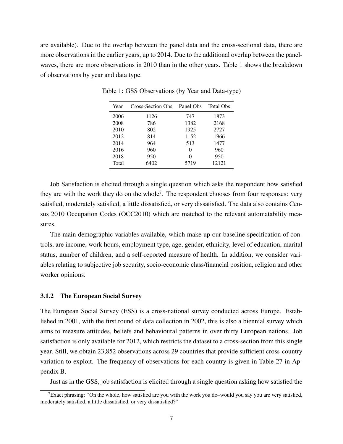are available). Due to the overlap between the panel data and the cross-sectional data, there are more observations in the earlier years, up to 2014. Due to the additional overlap between the panelwaves, there are more observations in 2010 than in the other years. Table 1 shows the breakdown of observations by year and data type.

| Year  | Cross-Section Obs | Panel Obs | Total Obs |
|-------|-------------------|-----------|-----------|
| 2006  | 1126              | 747       | 1873      |
| 2008  | 786               | 1382      | 2168      |
| 2010  | 802               | 1925      | 2727      |
| 2012  | 814               | 1152      | 1966      |
| 2014  | 964               | 513       | 1477      |
| 2016  | 960               | $\Omega$  | 960       |
| 2018  | 950               | 0         | 950       |
| Total | 6402              | 5719      | 12121     |

Table 1: GSS Observations (by Year and Data-type)

Job Satisfaction is elicited through a single question which asks the respondent how satisfied they are with the work they do on the whole<sup>7</sup>. The respondent chooses from four responses: very satisfied, moderately satisfied, a little dissatisfied, or very dissatisfied. The data also contains Census 2010 Occupation Codes (OCC2010) which are matched to the relevant automatability measures.

The main demographic variables available, which make up our baseline specification of controls, are income, work hours, employment type, age, gender, ethnicity, level of education, marital status, number of children, and a self-reported measure of health. In addition, we consider variables relating to subjective job security, socio-economic class/financial position, religion and other worker opinions.

#### 3.1.2 The European Social Survey

The European Social Survey (ESS) is a cross-national survey conducted across Europe. Established in 2001, with the first round of data collection in 2002, this is also a biennial survey which aims to measure attitudes, beliefs and behavioural patterns in over thirty European nations. Job satisfaction is only available for 2012, which restricts the dataset to a cross-section from this single year. Still, we obtain 23,852 observations across 29 countries that provide sufficient cross-country variation to exploit. The frequency of observations for each country is given in Table 27 in Appendix B.

Just as in the GSS, job satisfaction is elicited through a single question asking how satisfied the

<sup>&</sup>lt;sup>7</sup>Exact phrasing: "On the whole, how satisfied are you with the work you do–would you say you are very satisfied, moderately satisfied, a little dissatisfied, or very dissatisfied?"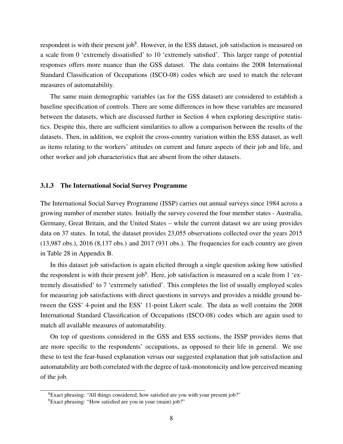respondent is with their present job<sup>8</sup>. However, in the ESS dataset, job satisfaction is measured on a scale from 0 'extremely dissatisfied' to 10 'extremely satisfied'. This larger range of potential responses offers more nuance than the GSS dataset. The data contains the 2008 International Standard Classification of Occupations (ISCO-08) codes which are used to match the relevant measures of automatability.

The same main demographic variables (as for the GSS dataset) are considered to establish a baseline specification of controls. There are some differences in how these variables are measured between the datasets, which are discussed further in Section 4 when exploring descriptive statistics. Despite this, there are sufficient similarities to allow a comparison between the results of the datasets. Then, in addition, we exploit the cross-country variation within the ESS dataset, as well as items relating to the workers' attitudes on current and future aspects of their job and life, and other worker and job characteristics that are absent from the other datasets.

#### 3.1.3 The International Social Survey Programme

The International Social Survey Programme (ISSP) carries out annual surveys since 1984 across a growing number of member states. Initially the survey covered the four member states - Australia, Germany, Great Britain, and the United States – while the current dataset we are using provides data on 37 states. In total, the dataset provides 23,055 observations collected over the years 2015 (13,987 obs.), 2016 (8,137 obs.) and 2017 (931 obs.). The frequencies for each country are given in Table 28 in Appendix B.

In this dataset job satisfaction is again elicited through a single question asking how satisfied the respondent is with their present job<sup>9</sup>. Here, job satisfaction is measured on a scale from 1 'extremely dissatisfied' to 7 'extremely satisfied'. This completes the list of usually employed scales for measuring job satisfactions with direct questions in surveys and provides a middle ground between the GSS' 4-point and the ESS' 11-point Likert scale. The data as well contains the 2008 International Standard Classification of Occupations (ISCO-08) codes which are again used to match all available measures of automatability.

On top of questions considered in the GSS and ESS sections, the ISSP provides items that are more specific to the respondents' occupations, as opposed to their life in general. We use these to test the fear-based explanation versus our suggested explanation that job satisfaction and automatability are both correlated with the degree of task-monotonicity and low perceived meaning of the job.

<sup>8</sup>Exact phrasing: "All things considered, how satisfied are you with your present job?"

<sup>&</sup>lt;sup>9</sup>Exact phrasing: "How satisfied are you in your (main) job?"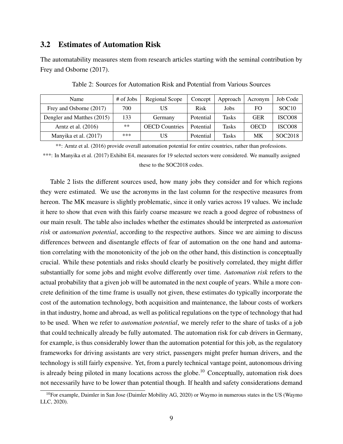### 3.2 Estimates of Automation Risk

The automatability measures stem from research articles starting with the seminal contribution by Frey and Osborne (2017).

| Name                       | # of Jobs | Regional Scope        | Concept   | Approach     | Acronym     | Job Code           |
|----------------------------|-----------|-----------------------|-----------|--------------|-------------|--------------------|
| Frey and Osborne (2017)    | 700       |                       | Risk      | Jobs         | FO          | SOC <sub>10</sub>  |
| Dengler and Matthes (2015) | 133       | Germany               | Potential | <b>Tasks</b> | <b>GER</b>  | ISCO <sub>08</sub> |
| Arntz et al. (2016)        | **        | <b>OECD</b> Countries | Potential | <b>Tasks</b> | <b>OECD</b> | ISCO <sub>08</sub> |
| Manyika et al. (2017)      | ***       |                       | Potential | Tasks        | MK          | SOC2018            |

Table 2: Sources for Automation Risk and Potential from Various Sources

\*\*: Arntz et al. (2016) provide overall automation potential for entire countries, rather than professions.

\*\*\*: In Manyika et al. (2017) Exhibit E4, measures for 19 selected sectors were considered. We manually assigned these to the SOC2018 codes.

Table 2 lists the different sources used, how many jobs they consider and for which regions they were estimated. We use the acronyms in the last column for the respective measures from hereon. The MK measure is slightly problematic, since it only varies across 19 values. We include it here to show that even with this fairly coarse measure we reach a good degree of robustness of our main result. The table also includes whether the estimates should be interpreted as *automation risk* or *automation potential*, according to the respective authors. Since we are aiming to discuss differences between and disentangle effects of fear of automation on the one hand and automation correlating with the monotonicity of the job on the other hand, this distinction is conceptually crucial. While these potentials and risks should clearly be positively correlated, they might differ substantially for some jobs and might evolve differently over time. *Automation risk* refers to the actual probability that a given job will be automated in the next couple of years. While a more concrete definition of the time frame is usually not given, these estimates do typically incorporate the cost of the automation technology, both acquisition and maintenance, the labour costs of workers in that industry, home and abroad, as well as political regulations on the type of technology that had to be used. When we refer to *automation potential*, we merely refer to the share of tasks of a job that could technically already be fully automated. The automation risk for cab drivers in Germany, for example, is thus considerably lower than the automation potential for this job, as the regulatory frameworks for driving assistants are very strict, passengers might prefer human drivers, and the technology is still fairly expensive. Yet, from a purely technical vantage point, autonomous driving is already being piloted in many locations across the globe.<sup>10</sup> Conceptually, automation risk does not necessarily have to be lower than potential though. If health and safety considerations demand

<sup>&</sup>lt;sup>10</sup>For example, Daimler in San Jose (Daimler Mobility AG, 2020) or Waymo in numerous states in the US (Waymo LLC, 2020).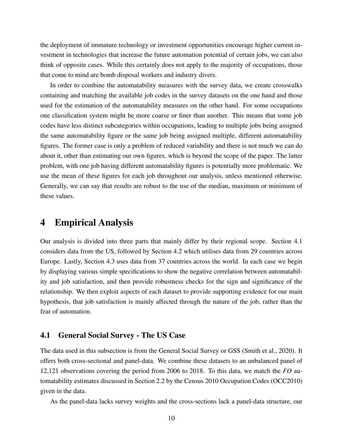the deployment of immature technology or investment opportunities encourage higher current investment in technologies that increase the future automation potential of certain jobs, we can also think of opposite cases. While this certainly does not apply to the majority of occupations, those that come to mind are bomb disposal workers and industry divers.

In order to combine the automatability measures with the survey data, we create crosswalks containing and matching the available job codes in the survey datasets on the one hand and those used for the estimation of the automatability measures on the other hand. For some occupations one classification system might be more coarse or finer than another. This means that some job codes have less distinct subcategories within occupations, leading to multiple jobs being assigned the same automatability figure or the same job being assigned multiple, different automatability figures. The former case is only a problem of reduced variability and there is not much we can do about it, other than estimating our own figures, which is beyond the scope of the paper. The latter problem, with one job having different automatability figures is potentially more problematic. We use the mean of these figures for each job throughout our analysis, unless mentioned otherwise. Generally, we can say that results are robust to the use of the median, maximum or minimum of these values.

### 4 Empirical Analysis

Our analysis is divided into three parts that mainly differ by their regional scope. Section 4.1 considers data from the US, followed by Section 4.2 which utilises data from 29 countries across Europe. Lastly, Section 4.3 uses data from 37 countries across the world. In each case we begin by displaying various simple specifications to show the negative correlation between automatability and job satisfaction, and then provide robustness checks for the sign and significance of the relationship. We then exploit aspects of each dataset to provide supporting evidence for our main hypothesis, that job satisfaction is mainly affected through the nature of the job, rather than the fear of automation.

### 4.1 General Social Survey - The US Case

The data used in this subsection is from the General Social Survey or GSS (Smith et al., 2020). It offers both cross-sectional and panel-data. We combine these datasets to an unbalanced panel of 12,121 observations covering the period from 2006 to 2018. To this data, we match the *FO* automatability estimates discussed in Section 2.2 by the Census 2010 Occupation Codes (OCC2010) given in the data.

As the panel-data lacks survey weights and the cross-sections lack a panel-data structure, our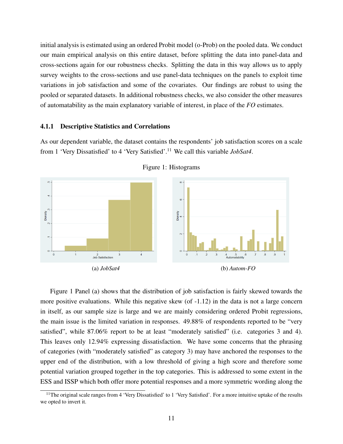initial analysis is estimated using an ordered Probit model (o-Prob) on the pooled data. We conduct our main empirical analysis on this entire dataset, before splitting the data into panel-data and cross-sections again for our robustness checks. Splitting the data in this way allows us to apply survey weights to the cross-sections and use panel-data techniques on the panels to exploit time variations in job satisfaction and some of the covariates. Our findings are robust to using the pooled or separated datasets. In additional robustness checks, we also consider the other measures of automatability as the main explanatory variable of interest, in place of the *FO* estimates.

#### 4.1.1 Descriptive Statistics and Correlations

As our dependent variable, the dataset contains the respondents' job satisfaction scores on a scale from 1 'Very Dissatisfied' to 4 'Very Satisfied'.<sup>11</sup> We call this variable *JobSat4*.





Figure 1 Panel (a) shows that the distribution of job satisfaction is fairly skewed towards the more positive evaluations. While this negative skew (of -1.12) in the data is not a large concern in itself, as our sample size is large and we are mainly considering ordered Probit regressions, the main issue is the limited variation in responses. 49.88% of respondents reported to be "very satisfied", while 87.06% report to be at least "moderately satisfied" (i.e. categories 3 and 4). This leaves only 12.94% expressing dissatisfaction. We have some concerns that the phrasing of categories (with "moderately satisfied" as category 3) may have anchored the responses to the upper end of the distribution, with a low threshold of giving a high score and therefore some potential variation grouped together in the top categories. This is addressed to some extent in the ESS and ISSP which both offer more potential responses and a more symmetric wording along the

<sup>&</sup>lt;sup>11</sup>The original scale ranges from 4 'Very Dissatisfied' to 1 'Very Satisfied'. For a more intuitive uptake of the results we opted to invert it.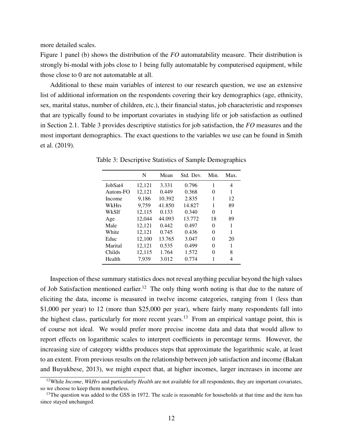more detailed scales.

Figure 1 panel (b) shows the distribution of the *FO* automatability measure. Their distribution is strongly bi-modal with jobs close to 1 being fully automatable by computerised equipment, while those close to 0 are not automatable at all.

Additional to these main variables of interest to our research question, we use an extensive list of additional information on the respondents covering their key demographics (age, ethnicity, sex, marital status, number of children, etc.), their financial status, job characteristic and responses that are typically found to be important covariates in studying life or job satisfaction as outlined in Section 2.1. Table 3 provides descriptive statistics for job satisfaction, the *FO* measures and the most important demographics. The exact questions to the variables we use can be found in Smith et al. (2019).

|          | N      | Mean   | Std. Dev. | Min. | Max. |
|----------|--------|--------|-----------|------|------|
| JobSat4  | 12,121 | 3.331  | 0.796     | 1    | 4    |
| Autom-FO | 12,121 | 0.449  | 0.368     | 0    | 1    |
| Income   | 9.186  | 10.392 | 2.835     | 1    | 12   |
| WkHrs    | 9,759  | 41.850 | 14.827    | 1    | 89   |
| WkSlf    | 12,115 | 0.133  | 0.340     | 0    | 1    |
| Age      | 12.044 | 44.093 | 13.772    | 18   | 89   |
| Male     | 12,121 | 0.442  | 0.497     | 0    | 1    |
| White    | 12,121 | 0.745  | 0.436     | 0    | 1    |
| Educ     | 12,100 | 13.765 | 3.047     | 0    | 20   |
| Marital  | 12,121 | 0.535  | 0.499     | 0    | 1    |
| Childs   | 12,115 | 1.764  | 1.572     | 0    | 8    |
| Health   | 7.939  | 3.012  | 0.774     | 1    | 4    |

Table 3: Descriptive Statistics of Sample Demographics

Inspection of these summary statistics does not reveal anything peculiar beyond the high values of Job Satisfaction mentioned earlier.<sup>12</sup> The only thing worth noting is that due to the nature of eliciting the data, income is measured in twelve income categories, ranging from 1 (less than \$1,000 per year) to 12 (more than \$25,000 per year), where fairly many respondents fall into the highest class, particularly for more recent years.<sup>13</sup> From an empirical vantage point, this is of course not ideal. We would prefer more precise income data and data that would allow to report effects on logarithmic scales to interpret coefficients in percentage terms. However, the increasing size of category widths produces steps that approximate the logarithmic scale, at least to an extent. From previous results on the relationship between job satisfaction and income (Bakan and Buyukbese, 2013), we might expect that, at higher incomes, larger increases in income are

<sup>&</sup>lt;sup>12</sup>While *Income*, *WkHrs* and particularly *Health* are not available for all respondents, they are important covariates, so we choose to keep them nonetheless.

 $13$ The question was added to the GSS in 1972. The scale is reasonable for households at that time and the item has since stayed unchanged.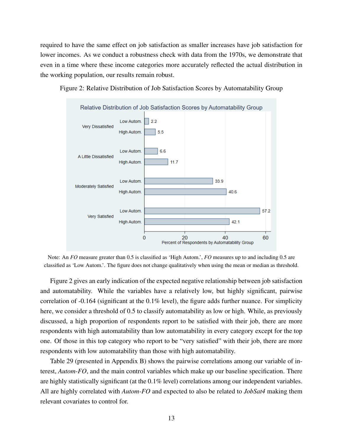required to have the same effect on job satisfaction as smaller increases have job satisfaction for lower incomes. As we conduct a robustness check with data from the 1970s, we demonstrate that even in a time where these income categories more accurately reflected the actual distribution in the working population, our results remain robust.



Figure 2: Relative Distribution of Job Satisfaction Scores by Automatability Group

Note: An *FO* measure greater than 0.5 is classified as 'High Autom.', *FO* measures up to and including 0.5 are classified as 'Low Autom.'. The figure does not change qualitatively when using the mean or median as threshold.

Figure 2 gives an early indication of the expected negative relationship between job satisfaction and automatability. While the variables have a relatively low, but highly significant, pairwise correlation of  $-0.164$  (significant at the  $0.1\%$  level), the figure adds further nuance. For simplicity here, we consider a threshold of 0.5 to classify automatability as low or high. While, as previously discussed, a high proportion of respondents report to be satisfied with their job, there are more respondents with high automatability than low automatability in every category except for the top one. Of those in this top category who report to be "very satisfied" with their job, there are more respondents with low automatability than those with high automatability.

Table 29 (presented in Appendix B) shows the pairwise correlations among our variable of interest, *Autom-FO*, and the main control variables which make up our baseline specification. There are highly statistically significant (at the 0.1% level) correlations among our independent variables. All are highly correlated with *Autom-FO* and expected to also be related to *JobSat4* making them relevant covariates to control for.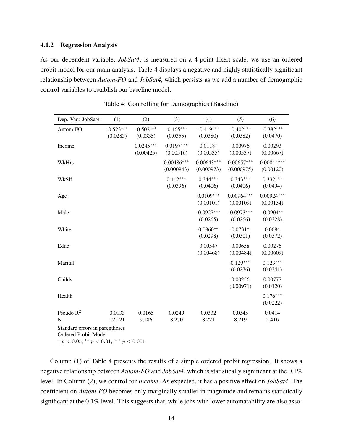#### 4.1.2 Regression Analysis

As our dependent variable, *JobSat4*, is measured on a 4-point likert scale, we use an ordered probit model for our main analysis. Table 4 displays a negative and highly statistically significant relationship between *Autom-FO* and *JobSat4*, which persists as we add a number of demographic control variables to establish our baseline model.

| Dep. Var.: JobSat4          | (1)                     | (2)                      | (3)                        | (4)                        | (5)                        | (6)                       |
|-----------------------------|-------------------------|--------------------------|----------------------------|----------------------------|----------------------------|---------------------------|
| Autom-FO                    | $-0.523***$<br>(0.0283) | $-0.502***$<br>(0.0335)  | $-0.465***$<br>(0.0355)    | $-0.419***$<br>(0.0380)    | $-0.402***$<br>(0.0382)    | $-0.382***$<br>(0.0470)   |
| Income                      |                         | $0.0245***$<br>(0.00425) | $0.0197***$<br>(0.00516)   | $0.0118*$<br>(0.00535)     | 0.00976<br>(0.00537)       | 0.00293<br>(0.00667)      |
| WkHrs                       |                         |                          | $0.00486***$<br>(0.000943) | $0.00643***$<br>(0.000973) | $0.00657***$<br>(0.000975) | $0.00844***$<br>(0.00120) |
| WkSlf                       |                         |                          | $0.412***$<br>(0.0396)     | $0.344***$<br>(0.0406)     | $0.343***$<br>(0.0406)     | $0.332***$<br>(0.0494)    |
| Age                         |                         |                          |                            | $0.0109***$<br>(0.00101)   | $0.00964***$<br>(0.00109)  | $0.00924***$<br>(0.00134) |
| Male                        |                         |                          |                            | $-0.0927***$<br>(0.0265)   | $-0.0973***$<br>(0.0266)   | $-0.0904**$<br>(0.0328)   |
| White                       |                         |                          |                            | $0.0860**$<br>(0.0298)     | $0.0731*$<br>(0.0301)      | 0.0684<br>(0.0372)        |
| Educ                        |                         |                          |                            | 0.00547<br>(0.00468)       | 0.00658<br>(0.00484)       | 0.00276<br>(0.00609)      |
| Marital                     |                         |                          |                            |                            | $0.129***$<br>(0.0276)     | $0.123***$<br>(0.0341)    |
| Childs                      |                         |                          |                            |                            | 0.00256<br>(0.00971)       | 0.00777<br>(0.0120)       |
| Health                      |                         |                          |                            |                            |                            | $0.176***$<br>(0.0222)    |
| Pseudo $R^2$<br>$\mathbf N$ | 0.0133<br>12,121        | 0.0165<br>9,186          | 0.0249<br>8,270            | 0.0332<br>8,221            | 0.0345<br>8,219            | 0.0414<br>5,416           |

Table 4: Controlling for Demographics (Baseline)

Standard errors in parentheses

Ordered Probit Model

\*  $p < 0.05$ , \*\*  $p < 0.01$ , \*\*\*  $p < 0.001$ 

Column (1) of Table 4 presents the results of a simple ordered probit regression. It shows a negative relationship between *Autom-FO* and *JobSat4*, which is statistically significant at the 0.1% level. In Column (2), we control for *Income*. As expected, it has a positive effect on *JobSat4*. The coefficient on *Autom-FO* becomes only marginally smaller in magnitude and remains statistically significant at the 0.1% level. This suggests that, while jobs with lower automatability are also asso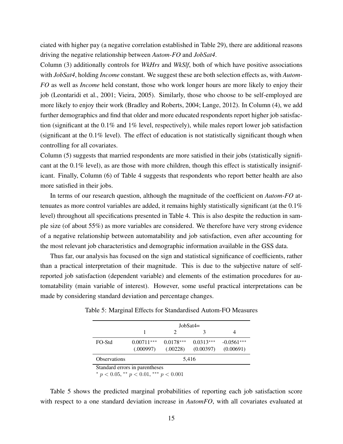ciated with higher pay (a negative correlation established in Table 29), there are additional reasons driving the negative relationship between *Autom-FO* and *JobSat4*.

Column (3) additionally controls for *WkHrs* and *WkSlf*, both of which have positive associations with *JobSat4*, holding *Income* constant. We suggest these are both selection effects as, with *Autom-FO* as well as *Income* held constant, those who work longer hours are more likely to enjoy their job (Leontaridi et al., 2001; Vieira, 2005). Similarly, those who choose to be self-employed are more likely to enjoy their work (Bradley and Roberts, 2004; Lange, 2012). In Column (4), we add further demographics and find that older and more educated respondents report higher job satisfaction (significant at the 0.1% and 1% level, respectively), while males report lower job satisfaction (significant at the 0.1% level). The effect of education is not statistically significant though when controlling for all covariates.

Column (5) suggests that married respondents are more satisfied in their jobs (statistically significant at the 0.1% level), as are those with more children, though this effect is statistically insignificant. Finally, Column (6) of Table 4 suggests that respondents who report better health are also more satisfied in their jobs.

In terms of our research question, although the magnitude of the coefficient on *Autom-FO* attenuates as more control variables are added, it remains highly statistically significant (at the 0.1% level) throughout all specifications presented in Table 4. This is also despite the reduction in sample size (of about 55%) as more variables are considered. We therefore have very strong evidence of a negative relationship between automatability and job satisfaction, even after accounting for the most relevant job characteristics and demographic information available in the GSS data.

Thus far, our analysis has focused on the sign and statistical significance of coefficients, rather than a practical interpretation of their magnitude. This is due to the subjective nature of selfreported job satisfaction (dependent variable) and elements of the estimation procedures for automatability (main variable of interest). However, some useful practical interpretations can be made by considering standard deviation and percentage changes.

|                                                                                      |                           | $JobSat4=$              |                          |                           |
|--------------------------------------------------------------------------------------|---------------------------|-------------------------|--------------------------|---------------------------|
|                                                                                      |                           |                         |                          |                           |
| FO-Std                                                                               | $0.00711***$<br>(.000997) | $0.0178***$<br>(.00228) | $0.0313***$<br>(0.00397) | $-0.0561***$<br>(0.00691) |
| <b>Observations</b>                                                                  |                           | 5,416                   |                          |                           |
| Standard errors in parentheses<br>$*$ . $0.0$ $*$ $*$ . $0.01$ $*$ $*$ $*$ . $0.001$ |                           |                         |                          |                           |

Table 5: Marginal Effects for Standardised Autom-FO Measures

\*  $p < 0.05$ , \*\*  $p < 0.01$ , \*\*\*  $p < 0.001$ 

Table 5 shows the predicted marginal probabilities of reporting each job satisfaction score with respect to a one standard deviation increase in *AutomFO*, with all covariates evaluated at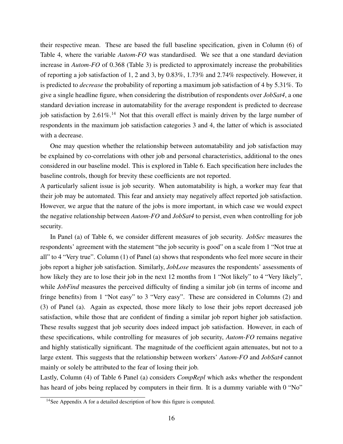their respective mean. These are based the full baseline specification, given in Column (6) of Table 4, where the variable *Autom-FO* was standardised. We see that a one standard deviation increase in *Autom-FO* of 0.368 (Table 3) is predicted to approximately increase the probabilities of reporting a job satisfaction of 1, 2 and 3, by 0.83%, 1.73% and 2.74% respectively. However, it is predicted to *decrease* the probability of reporting a maximum job satisfaction of 4 by 5.31%. To give a single headline figure, when considering the distribution of respondents over *JobSat4*, a one standard deviation increase in automatability for the average respondent is predicted to decrease job satisfaction by 2.61%.<sup>14</sup> Not that this overall effect is mainly driven by the large number of respondents in the maximum job satisfaction categories 3 and 4, the latter of which is associated with a decrease.

One may question whether the relationship between automatability and job satisfaction may be explained by co-correlations with other job and personal characteristics, additional to the ones considered in our baseline model. This is explored in Table 6. Each specification here includes the baseline controls, though for brevity these coefficients are not reported.

A particularly salient issue is job security. When automatability is high, a worker may fear that their job may be automated. This fear and anxiety may negatively affect reported job satisfaction. However, we argue that the nature of the jobs is more important, in which case we would expect the negative relationship between *Autom-FO* and *JobSat4* to persist, even when controlling for job security.

In Panel (a) of Table 6, we consider different measures of job security. *JobSec* measures the respondents' agreement with the statement "the job security is good" on a scale from 1 "Not true at all" to 4 "Very true". Column (1) of Panel (a) shows that respondents who feel more secure in their jobs report a higher job satisfaction. Similarly, *JobLose* measures the respondents' assessments of how likely they are to lose their job in the next 12 months from 1 "Not likely" to 4 "Very likely", while *JobFind* measures the perceived difficulty of finding a similar job (in terms of income and fringe benefits) from 1 "Not easy" to 3 "Very easy". These are considered in Columns (2) and (3) of Panel (a). Again as expected, those more likely to lose their jobs report decreased job satisfaction, while those that are confident of finding a similar job report higher job satisfaction. These results suggest that job security does indeed impact job satisfaction. However, in each of these specifications, while controlling for measures of job security, *Autom-FO* remains negative and highly statistically significant. The magnitude of the coefficient again attenuates, but not to a large extent. This suggests that the relationship between workers' *Autom-FO* and *JobSat4* cannot mainly or solely be attributed to the fear of losing their job.

Lastly, Column (4) of Table 6 Panel (a) considers *CompRepl* which asks whether the respondent has heard of jobs being replaced by computers in their firm. It is a dummy variable with 0 "No"

 $14$ See Appendix A for a detailed description of how this figure is computed.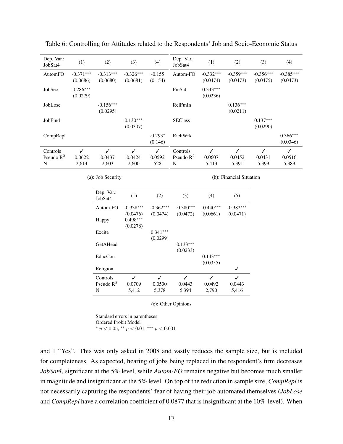| Dep. Var.:<br>JobSat4         | (1)                             | (2)                     | (3)                     | (4)                  | Dep. Var.:<br>JobSat4         | (1)                     | (2)                     | (3)                     | (4)                     |
|-------------------------------|---------------------------------|-------------------------|-------------------------|----------------------|-------------------------------|-------------------------|-------------------------|-------------------------|-------------------------|
| AutomFO                       | $-0.371***$<br>(0.0686)         | $-0.313***$<br>(0.0680) | $-0.326***$<br>(0.0681) | $-0.155$<br>(0.154)  | Autom-FO                      | $-0.332***$<br>(0.0474) | $-0.359***$<br>(0.0473) | $-0.356***$<br>(0.0475) | $-0.385***$<br>(0.0473) |
| JobSec                        | $0.286***$<br>(0.0279)          |                         |                         |                      | FinSat                        | $0.343***$<br>(0.0236)  |                         |                         |                         |
| JobLose                       |                                 | $-0.156***$<br>(0.0295) |                         |                      | RelFmIn                       |                         | $0.136***$<br>(0.0211)  |                         |                         |
| JobFind                       |                                 |                         | $0.130***$<br>(0.0307)  |                      | <b>SEClass</b>                |                         |                         | $0.137***$<br>(0.0290)  |                         |
| CompRepl                      |                                 |                         |                         | $-0.293*$<br>(0.146) | RichWrk                       |                         |                         |                         | $0.366***$<br>(0.0346)  |
| Controls<br>Pseudo $R^2$<br>N | $\checkmark$<br>0.0622<br>2,614 | ✓<br>0.0437<br>2,603    | ✓<br>0.0424<br>2,600    | ✓<br>0.0592<br>528   | Controls<br>Pseudo $R^2$<br>N | ✓<br>0.0607<br>5,413    | ✓<br>0.0452<br>5,391    | ✓<br>0.0431<br>5,399    | ✓<br>0.0516<br>5,389    |

|  |  |  | Table 6: Controlling for Attitudes related to the Respondents' Job and Socio-Economic Status |
|--|--|--|----------------------------------------------------------------------------------------------|
|  |  |  |                                                                                              |

(a): Job Security

(b): Financial Situation

| Dep. Var.:<br>JobSat4 | (1)         | (2)         | (3)         | (4)         | (5)         |
|-----------------------|-------------|-------------|-------------|-------------|-------------|
| Autom-FO              | $-0.338***$ | $-0.362***$ | $-0.380***$ | $-0.440***$ | $-0.382***$ |
|                       | (0.0476)    | (0.0474)    | (0.0472)    | (0.0661)    | (0.0471)    |
| Happy                 | $0.498***$  |             |             |             |             |
|                       | (0.0278)    |             |             |             |             |
| Excite                |             | $0.341***$  |             |             |             |
|                       |             | (0.0299)    |             |             |             |
| GetAHead              |             |             | $0.133***$  |             |             |
|                       |             |             | (0.0233)    |             |             |
| EducCon               |             |             |             | $0.143***$  |             |
|                       |             |             |             | (0.0355)    |             |
| Religion              |             |             |             |             | ✓           |
| Controls              | ℐ           | ✓           | ✓           | ✓           | ✓           |
| Pseudo $\mathbb{R}^2$ | 0.0709      | 0.0530      | 0.0443      | 0.0492      | 0.0443      |
| N                     | 5,412       | 5,378       | 5,394       | 2,790       | 5,416       |

(c): Other Opinions

Standard errors in parentheses Ordered Probit Model \*  $p < 0.05$ , \*\*  $p < 0.01$ , \*\*\*  $p < 0.001$ 

and 1 "Yes". This was only asked in 2008 and vastly reduces the sample size, but is included for completeness. As expected, hearing of jobs being replaced in the respondent's firm decreases *JobSat4*, significant at the 5% level, while *Autom-FO* remains negative but becomes much smaller in magnitude and insignificant at the 5% level. On top of the reduction in sample size, *CompRepl* is not necessarily capturing the respondents' fear of having their job automated themselves (*JobLose* and *CompRepl* have a correlation coefficient of 0.0877 that is insignificant at the 10%-level). When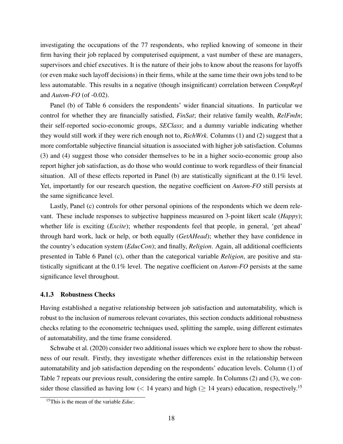investigating the occupations of the 77 respondents, who replied knowing of someone in their firm having their job replaced by computerised equipment, a vast number of these are managers, supervisors and chief executives. It is the nature of their jobs to know about the reasons for layoffs (or even make such layoff decisions) in their firms, while at the same time their own jobs tend to be less automatable. This results in a negative (though insignificant) correlation between *CompRepl* and *Autom-FO* (of -0.02).

Panel (b) of Table 6 considers the respondents' wider financial situations. In particular we control for whether they are financially satisfied, *FinSat*; their relative family wealth, *RelFmIn*; their self-reported socio-economic groups, *SEClass*; and a dummy variable indicating whether they would still work if they were rich enough not to, *RichWrk*. Columns (1) and (2) suggest that a more comfortable subjective financial situation is associated with higher job satisfaction. Columns (3) and (4) suggest those who consider themselves to be in a higher socio-economic group also report higher job satisfaction, as do those who would continue to work regardless of their financial situation. All of these effects reported in Panel (b) are statistically significant at the 0.1% level. Yet, importantly for our research question, the negative coefficient on *Autom-FO* still persists at the same significance level.

Lastly, Panel (c) controls for other personal opinions of the respondents which we deem relevant. These include responses to subjective happiness measured on 3-point likert scale (*Happy*); whether life is exciting (*Excite*); whether respondents feel that people, in general, 'get ahead' through hard work, luck or help, or both equally (*GetAHead*); whether they have confidence in the country's education system (*EducCon*); and finally, *Religion*. Again, all additional coefficients presented in Table 6 Panel (c), other than the categorical variable *Religion*, are positive and statistically significant at the 0.1% level. The negative coefficient on *Autom-FO* persists at the same significance level throughout.

#### 4.1.3 Robustness Checks

Having established a negative relationship between job satisfaction and automatability, which is robust to the inclusion of numerous relevant covariates, this section conducts additional robustness checks relating to the econometric techniques used, splitting the sample, using different estimates of automatability, and the time frame considered.

Schwabe et al. (2020) consider two additional issues which we explore here to show the robustness of our result. Firstly, they investigate whether differences exist in the relationship between automatability and job satisfaction depending on the respondents' education levels. Column (1) of Table 7 repeats our previous result, considering the entire sample. In Columns (2) and (3), we consider those classified as having low (< 14 years) and high ( $\geq$  14 years) education, respectively.<sup>15</sup>

<sup>15</sup>This is the mean of the variable *Educ*.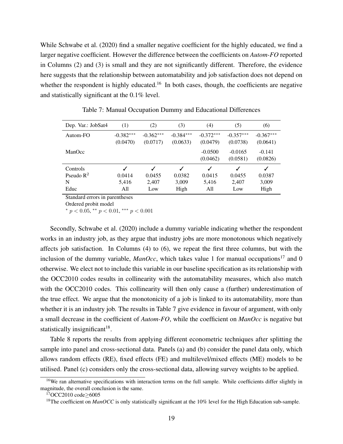While Schwabe et al. (2020) find a smaller negative coefficient for the highly educated, we find a larger negative coefficient. However the difference between the coefficients on *Autom-FO* reported in Columns (2) and (3) is small and they are not significantly different. Therefore, the evidence here suggests that the relationship between automatability and job satisfaction does not depend on whether the respondent is highly educated.<sup>16</sup> In both cases, though, the coefficients are negative and statistically significant at the 0.1% level.

| Dep. Var.: JobSat4 | (1)                     | (2)                     | (3)                     | (4)                     | (5)                     | (6)                     |
|--------------------|-------------------------|-------------------------|-------------------------|-------------------------|-------------------------|-------------------------|
| Autom-FO           | $-0.382***$<br>(0.0470) | $-0.362***$<br>(0.0717) | $-0.384***$<br>(0.0633) | $-0.372***$<br>(0.0479) | $-0.357***$<br>(0.0738) | $-0.367***$<br>(0.0641) |
| ManOcc             |                         |                         |                         | $-0.0500$<br>(0.0462)   | $-0.0165$<br>(0.0581)   | $-0.141$<br>(0.0826)    |
| Controls           |                         |                         | ✓                       | ✓                       | $\checkmark$            | ✓                       |
| Pseudo $R^2$       | 0.0414                  | 0.0455                  | 0.0382                  | 0.0415                  | 0.0455                  | 0.0387                  |
| N                  | 5,416                   | 2.407                   | 3,009                   | 5,416                   | 2,407                   | 3,009                   |
| Educ               | All                     | Low                     | High                    | All                     | Low                     | High                    |

Table 7: Manual Occupation Dummy and Educational Differences

Standard errors in parentheses

Ordered probit model

\*  $p < 0.05$ , \*\*  $p < 0.01$ , \*\*\*  $p < 0.001$ 

Secondly, Schwabe et al. (2020) include a dummy variable indicating whether the respondent works in an industry job, as they argue that industry jobs are more monotonous which negatively affects job satisfaction. In Columns (4) to (6), we repeat the first three columns, but with the inclusion of the dummy variable,  $ManOcc$ , which takes value 1 for manual occupations<sup>17</sup> and 0 otherwise. We elect not to include this variable in our baseline specification as its relationship with the OCC2010 codes results in collinearity with the automatability measures, which also match with the OCC2010 codes. This collinearity will then only cause a (further) underestimation of the true effect. We argue that the monotonicity of a job is linked to its automatability, more than whether it is an industry job. The results in Table 7 give evidence in favour of argument, with only a small decrease in the coefficient of *Autom-FO*, while the coefficient on *ManOcc* is negative but statistically insignificant<sup>18</sup>.

Table 8 reports the results from applying different econometric techniques after splitting the sample into panel and cross-sectional data. Panels (a) and (b) consider the panel data only, which allows random effects (RE), fixed effects (FE) and multilevel/mixed effects (ME) models to be utilised. Panel (c) considers only the cross-sectional data, allowing survey weights to be applied.

<sup>&</sup>lt;sup>16</sup>We ran alternative specifications with interaction terms on the full sample. While coefficients differ slightly in magnitude, the overall conclusion is the same.

<sup>&</sup>lt;sup>17</sup>OCC2010 code>6005

<sup>&</sup>lt;sup>18</sup>The coefficient on *ManOCC* is only statistically significant at the 10% level for the High Education sub-sample.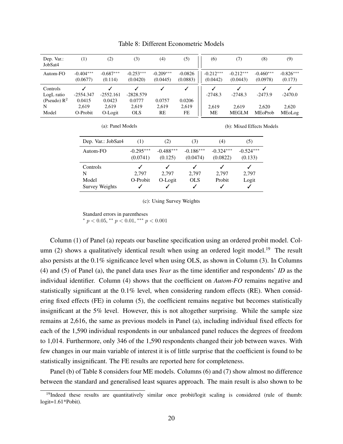| Dep. Var.:<br>JobSat4 | (1)                     | (2)                    | (3)                     | $\left( 4\right)$       | (5)                   | (6)                     | (7)                     | (8)                     | (9)                    |
|-----------------------|-------------------------|------------------------|-------------------------|-------------------------|-----------------------|-------------------------|-------------------------|-------------------------|------------------------|
| Autom-FO              | $-0.404***$<br>(0.0677) | $-0.687***$<br>(0.114) | $-0.253***$<br>(0.0420) | $-0.209***$<br>(0.0445) | $-0.0826$<br>(0.0883) | $-0.212***$<br>(0.0442) | $-0.212***$<br>(0.0443) | $-0.460***$<br>(0.0978) | $-0.826***$<br>(0.173) |
|                       |                         |                        |                         |                         |                       |                         |                         |                         |                        |
| Controls              |                         |                        |                         |                         |                       |                         |                         |                         |                        |
| LogL ratio            | $-2554.347$             | $-2552.161$            | $-2828.579$             |                         |                       | $-2748.3$               | $-2748.3$               | $-2473.9$               | $-2470.0$              |
| (Pseudo) $R^2$        | 0.0415                  | 0.0423                 | 0.0777                  | 0.0757                  | 0.0206                |                         |                         |                         |                        |
| N                     | 2.619                   | 2,619                  | 2.619                   | 2,619                   | 2.619                 | 2.619                   | 2.619                   | 2.620                   | 2.620                  |

Table 8: Different Econometric Models

(a): Panel Models

(b): Mixed Effects Models

| Dep. Var.: JobSat4     | (1)                     | 2)                     | (3)                     | (4)                     | (5)                    |
|------------------------|-------------------------|------------------------|-------------------------|-------------------------|------------------------|
| Autom-FO               | $-0.295***$<br>(0.0741) | $-0.488***$<br>(0.125) | $-0.186***$<br>(0.0474) | $-0.324***$<br>(0.0822) | $-0.524***$<br>(0.133) |
| Controls<br>N<br>Model | 2.797<br>O-Probit       | 2.797<br>O-Logit       | 2,797<br><b>OLS</b>     | 2,797<br>Probit         | 2,797<br>Logit         |
| Survey Weights         |                         |                        | ✓                       |                         |                        |

(c): Using Survey Weights

Standard errors in parentheses

\*  $p < 0.05$ , \*\*  $p < 0.01$ , \*\*\*  $p < 0.001$ 

Column (1) of Panel (a) repeats our baseline specification using an ordered probit model. Column  $(2)$  shows a qualitatively identical result when using an ordered logit model.<sup>19</sup> The result also persists at the 0.1% significance level when using OLS, as shown in Column (3). In Columns (4) and (5) of Panel (a), the panel data uses *Year* as the time identifier and respondents' *ID* as the individual identifier. Column (4) shows that the coefficient on *Autom-FO* remains negative and statistically significant at the 0.1% level, when considering random effects (RE). When considering fixed effects (FE) in column (5), the coefficient remains negative but becomes statistically insignificant at the 5% level. However, this is not altogether surprising. While the sample size remains at 2,616, the same as previous models in Panel (a), including individual fixed effects for each of the 1,590 individual respondents in our unbalanced panel reduces the degrees of freedom to 1,014. Furthermore, only 346 of the 1,590 respondents changed their job between waves. With few changes in our main variable of interest it is of little surprise that the coefficient is found to be statistically insignificant. The FE results are reported here for completeness.

Panel (b) of Table 8 considers four ME models. Columns (6) and (7) show almost no difference between the standard and generalised least squares approach. The main result is also shown to be

<sup>&</sup>lt;sup>19</sup>Indeed these results are quantitatively similar once probit/logit scaling is considered (rule of thumb: logit=1.61\*Pobit).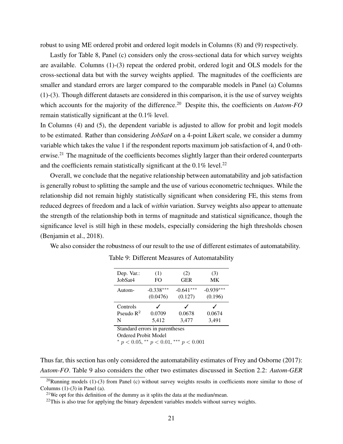robust to using ME ordered probit and ordered logit models in Columns (8) and (9) respectively.

Lastly for Table 8, Panel (c) considers only the cross-sectional data for which survey weights are available. Columns (1)-(3) repeat the ordered probit, ordered logit and OLS models for the cross-sectional data but with the survey weights applied. The magnitudes of the coefficients are smaller and standard errors are larger compared to the comparable models in Panel (a) Columns (1)-(3). Though different datasets are considered in this comparison, it is the use of survey weights which accounts for the majority of the difference.<sup>20</sup> Despite this, the coefficients on *Autom-FO* remain statistically significant at the 0.1% level.

In Columns (4) and (5), the dependent variable is adjusted to allow for probit and logit models to be estimated. Rather than considering *JobSat4* on a 4-point Likert scale, we consider a dummy variable which takes the value 1 if the respondent reports maximum job satisfaction of 4, and 0 otherwise.<sup>21</sup> The magnitude of the coefficients becomes slightly larger than their ordered counterparts and the coefficients remain statistically significant at the  $0.1\%$  level.<sup>22</sup>

Overall, we conclude that the negative relationship between automatability and job satisfaction is generally robust to splitting the sample and the use of various econometric techniques. While the relationship did not remain highly statistically significant when considering FE, this stems from reduced degrees of freedom and a lack of *within* variation. Survey weights also appear to attenuate the strength of the relationship both in terms of magnitude and statistical significance, though the significance level is still high in these models, especially considering the high thresholds chosen (Benjamin et al., 2018).

We also consider the robustness of our result to the use of different estimates of automatability.

| Dep. Var.:<br>JobSat4                  | (1)<br>FO.              | (2)<br><b>GER</b>              | (3)<br>МK              |  |  |  |  |  |
|----------------------------------------|-------------------------|--------------------------------|------------------------|--|--|--|--|--|
| Autom-                                 | $-0.338***$<br>(0.0476) | $-0.641***$<br>(0.127)         | $-0.939***$<br>(0.196) |  |  |  |  |  |
| Controls<br>Pseudo $\mathbb{R}^2$<br>N | 0.0709<br>5,412         | 0.0678<br>3,477                | 0.0674<br>3,491        |  |  |  |  |  |
|                                        |                         | Standard errors in parentheses |                        |  |  |  |  |  |

Table 9: Different Measures of Automatability

Ordered Probit Model

\*  $p < 0.05$ , \*\*  $p < 0.01$ , \*\*\*  $p < 0.001$ 

Thus far, this section has only considered the automatability estimates of Frey and Osborne (2017): *Autom-FO*. Table 9 also considers the other two estimates discussed in Section 2.2: *Autom-GER*

<sup>&</sup>lt;sup>20</sup>Running models (1)-(3) from Panel (c) without survey weights results in coefficients more similar to those of Columns  $(1)-(3)$  in Panel  $(a)$ .

<sup>&</sup>lt;sup>21</sup>We opt for this definition of the dummy as it splits the data at the median/mean.

 $^{22}$ This is also true for applying the binary dependent variables models without survey weights.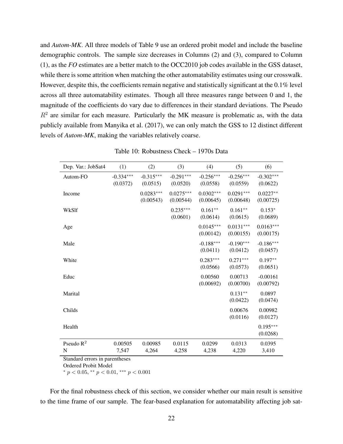and *Autom-MK*. All three models of Table 9 use an ordered probit model and include the baseline demographic controls. The sample size decreases in Columns (2) and (3), compared to Column (1), as the *FO* estimates are a better match to the OCC2010 job codes available in the GSS dataset, while there is some attrition when matching the other automatability estimates using our crosswalk. However, despite this, the coefficients remain negative and statistically significant at the 0.1% level across all three automatability estimates. Though all three measures range between 0 and 1, the magnitude of the coefficients do vary due to differences in their standard deviations. The Pseudo  $R<sup>2</sup>$  are similar for each measure. Particularly the MK measure is problematic as, with the data publicly available from Manyika et al. (2017), we can only match the GSS to 12 distinct different levels of *Autom-MK*, making the variables relatively coarse.

| Dep. Var.: JobSat4 | (1)                     | (2)                      | (3)                      | (4)                      | (5)                      | (6)                      |
|--------------------|-------------------------|--------------------------|--------------------------|--------------------------|--------------------------|--------------------------|
| Autom-FO           | $-0.334***$<br>(0.0372) | $-0.315***$<br>(0.0515)  | $-0.291***$<br>(0.0520)  | $-0.256***$<br>(0.0558)  | $-0.256***$<br>(0.0559)  | $-0.302***$<br>(0.0622)  |
| Income             |                         | $0.0283***$<br>(0.00543) | $0.0275***$<br>(0.00544) | $0.0302***$<br>(0.00645) | $0.0291***$<br>(0.00648) | $0.0227**$<br>(0.00725)  |
| WkSlf              |                         |                          | $0.235***$<br>(0.0601)   | $0.161**$<br>(0.0614)    | $0.161**$<br>(0.0615)    | $0.153*$<br>(0.0689)     |
| Age                |                         |                          |                          | $0.0145***$<br>(0.00142) | $0.0131***$<br>(0.00155) | $0.0163***$<br>(0.00175) |
| Male               |                         |                          |                          | $-0.188***$<br>(0.0411)  | $-0.190***$<br>(0.0412)  | $-0.186***$<br>(0.0457)  |
| White              |                         |                          |                          | $0.283***$<br>(0.0566)   | $0.271***$<br>(0.0573)   | $0.197**$<br>(0.0651)    |
| Educ               |                         |                          |                          | 0.00560<br>(0.00692)     | 0.00713<br>(0.00700)     | $-0.00161$<br>(0.00792)  |
| Marital            |                         |                          |                          |                          | $0.131**$<br>(0.0422)    | 0.0897<br>(0.0474)       |
| Childs             |                         |                          |                          |                          | 0.00676<br>(0.0116)      | 0.00982<br>(0.0127)      |
| Health             |                         |                          |                          |                          |                          | $0.195***$<br>(0.0268)   |
| Pseudo $R^2$<br>N  | 0.00505<br>7,547        | 0.00985<br>4,264         | 0.0115<br>4,258          | 0.0299<br>4,238          | 0.0313<br>4,220          | 0.0395<br>3,410          |

Table 10: Robustness Check – 1970s Data

Standard errors in parentheses

Ordered Probit Model

\*  $p < 0.05$ , \*\*  $p < 0.01$ , \*\*\*  $p < 0.001$ 

For the final robustness check of this section, we consider whether our main result is sensitive to the time frame of our sample. The fear-based explanation for automatability affecting job sat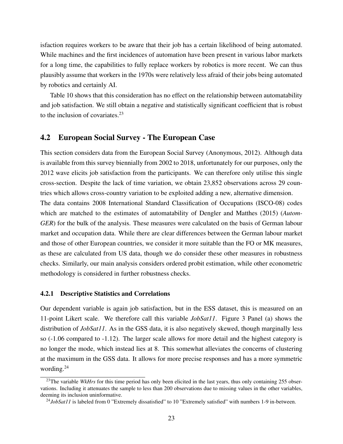isfaction requires workers to be aware that their job has a certain likelihood of being automated. While machines and the first incidences of automation have been present in various labor markets for a long time, the capabilities to fully replace workers by robotics is more recent. We can thus plausibly assume that workers in the 1970s were relatively less afraid of their jobs being automated by robotics and certainly AI.

Table 10 shows that this consideration has no effect on the relationship between automatability and job satisfaction. We still obtain a negative and statistically significant coefficient that is robust to the inclusion of covariates. $^{23}$ 

### 4.2 European Social Survey - The European Case

This section considers data from the European Social Survey (Anonymous, 2012). Although data is available from this survey biennially from 2002 to 2018, unfortunately for our purposes, only the 2012 wave elicits job satisfaction from the participants. We can therefore only utilise this single cross-section. Despite the lack of time variation, we obtain 23,852 observations across 29 countries which allows cross-country variation to be exploited adding a new, alternative dimension. The data contains 2008 International Standard Classification of Occupations (ISCO-08) codes which are matched to the estimates of automatability of Dengler and Matthes (2015) (*Autom-GER*) for the bulk of the analysis. These measures were calculated on the basis of German labour market and occupation data. While there are clear differences between the German labour market and those of other European countries, we consider it more suitable than the FO or MK measures, as these are calculated from US data, though we do consider these other measures in robustness checks. Similarly, our main analysis considers ordered probit estimation, while other econometric methodology is considered in further robustness checks.

#### 4.2.1 Descriptive Statistics and Correlations

Our dependent variable is again job satisfaction, but in the ESS dataset, this is measured on an 11-point Likert scale. We therefore call this variable *JobSat11*. Figure 3 Panel (a) shows the distribution of *JobSat11*. As in the GSS data, it is also negatively skewed, though marginally less so (-1.06 compared to -1.12). The larger scale allows for more detail and the highest category is no longer the mode, which instead lies at 8. This somewhat alleviates the concerns of clustering at the maximum in the GSS data. It allows for more precise responses and has a more symmetric wording.<sup>24</sup>

<sup>&</sup>lt;sup>23</sup>The variable *WkHrs* for this time period has only been elicited in the last years, thus only containing 255 observations. Including it attenuates the sample to less than 200 observations due to missing values in the other variables, deeming its inclusion uninformative.

<sup>&</sup>lt;sup>24</sup>JobSat11 is labeled from 0 "Extremely dissatisfied" to 10 "Extremely satisfied" with numbers 1-9 in-between.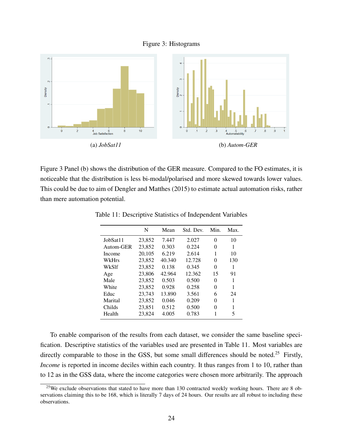



Figure 3 Panel (b) shows the distribution of the GER measure. Compared to the FO estimates, it is noticeable that the distribution is less bi-modal/polarised and more skewed towards lower values. This could be due to aim of Dengler and Matthes (2015) to estimate actual automation risks, rather than mere automation potential.

|           | N      | Mean   | Std. Dev. | Min.     | Max. |
|-----------|--------|--------|-----------|----------|------|
| JobSat11  | 23,852 | 7.447  | 2.027     | 0        | 10   |
| Autom-GER | 23,852 | 0.303  | 0.224     | 0        | 1    |
| Income    | 20,105 | 6.219  | 2.614     | 1        | 10   |
| WkHrs     | 23,852 | 40.340 | 12.728    | $^{(1)}$ | 130  |
| WkS1f     | 23,852 | 0.138  | 0.345     | 0        | 1    |
| Age       | 23,806 | 42.964 | 12.362    | 15       | 91   |
| Male      | 23,852 | 0.503  | 0.500     | 0        | 1    |
| White     | 23,852 | 0.928  | 0.258     | 0        | 1    |
| Educ      | 23,743 | 13.890 | 3.561     | 6        | 24   |
| Marital   | 23,852 | 0.046  | 0.209     | 0        | 1    |
| Childs    | 23.851 | 0.512  | 0.500     | 0        | 1    |
| Health    | 23,824 | 4.005  | 0.783     |          | 5    |

Table 11: Descriptive Statistics of Independent Variables

To enable comparison of the results from each dataset, we consider the same baseline specification. Descriptive statistics of the variables used are presented in Table 11. Most variables are directly comparable to those in the GSS, but some small differences should be noted.<sup>25</sup> Firstly, *Income* is reported in income deciles within each country. It thus ranges from 1 to 10, rather than to 12 as in the GSS data, where the income categories were chosen more arbitrarily. The approach

<sup>&</sup>lt;sup>25</sup>We exclude observations that stated to have more than 130 contracted weekly working hours. There are 8 observations claiming this to be 168, which is literally 7 days of 24 hours. Our results are all robust to including these observations.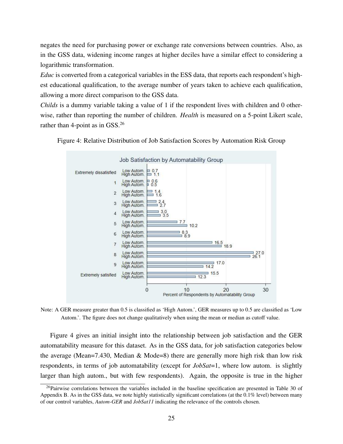negates the need for purchasing power or exchange rate conversions between countries. Also, as in the GSS data, widening income ranges at higher deciles have a similar effect to considering a logarithmic transformation.

*Educ* is converted from a categorical variables in the ESS data, that reports each respondent's highest educational qualification, to the average number of years taken to achieve each qualification, allowing a more direct comparison to the GSS data.

*Childs* is a dummy variable taking a value of 1 if the respondent lives with children and 0 otherwise, rather than reporting the number of children. *Health* is measured on a 5-point Likert scale, rather than 4-point as in GSS.<sup>26</sup>





Note: A GER measure greater than 0.5 is classified as 'High Autom.', GER measures up to 0.5 are classified as 'Low Autom.'. The figure does not change qualitatively when using the mean or median as cutoff value.

Figure 4 gives an initial insight into the relationship between job satisfaction and the GER automatability measure for this dataset. As in the GSS data, for job satisfaction categories below the average (Mean=7.430, Median & Mode=8) there are generally more high risk than low risk respondents, in terms of job automatability (except for *JobSat*=1, where low autom. is slightly larger than high autom., but with few respondents). Again, the opposite is true in the higher

<sup>&</sup>lt;sup>26</sup>Pairwise correlations between the variables included in the baseline specification are presented in Table 30 of Appendix B. As in the GSS data, we note highly statistically significant correlations (at the 0.1% level) between many of our control variables, *Autom-GER* and *JobSat11* indicating the relevance of the controls chosen.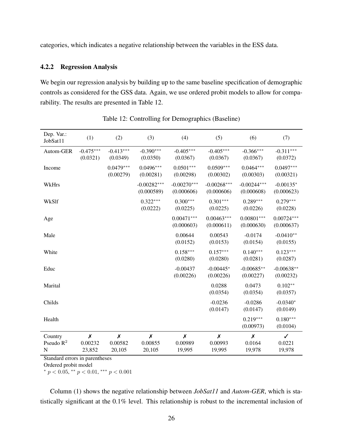categories, which indicates a negative relationship between the variables in the ESS data.

#### 4.2.2 Regression Analysis

We begin our regression analysis by building up to the same baseline specification of demographic controls as considered for the GSS data. Again, we use ordered probit models to allow for comparability. The results are presented in Table 12.

| Dep. Var.:<br>JobSat11       | (1)                                     | (2)                                     | (3)                         | (4)                                   | (5)                                   | (6)                         | (7)                              |
|------------------------------|-----------------------------------------|-----------------------------------------|-----------------------------|---------------------------------------|---------------------------------------|-----------------------------|----------------------------------|
| Autom-GER                    | $-0.475***$<br>(0.0321)                 | $-0.413***$<br>(0.0349)                 | $-0.390***$<br>(0.0350)     | $-0.405***$<br>(0.0367)               | $-0.405***$<br>(0.0367)               | $-0.366***$<br>(0.0367)     | $-0.311***$<br>(0.0372)          |
| Income                       |                                         | $0.0479***$<br>(0.00279)                | $0.0496***$<br>(0.00281)    | $0.0501***$<br>(0.00298)              | $0.0509***$<br>(0.00302)              | $0.0464***$<br>(0.00303)    | $0.0497***$<br>(0.00321)         |
| WkHrs                        |                                         |                                         | $-0.00282***$<br>(0.000589) | $-0.00270***$<br>(0.000606)           | $-0.00268***$<br>(0.000606)           | $-0.00244***$<br>(0.000608) | $-0.00135*$<br>(0.000623)        |
| WkSlf                        |                                         |                                         | $0.322***$<br>(0.0222)      | $0.300***$<br>(0.0225)                | $0.301***$<br>(0.0225)                | $0.289***$<br>(0.0226)      | $0.279***$<br>(0.0228)           |
| Age                          |                                         |                                         |                             | $0.00471***$<br>(0.000603)            | $0.00463***$<br>(0.000611)            | $0.00801***$<br>(0.000630)  | $0.00724***$<br>(0.000637)       |
| Male                         |                                         |                                         |                             | 0.00644<br>(0.0152)                   | 0.00543<br>(0.0153)                   | $-0.0174$<br>(0.0154)       | $-0.0410**$<br>(0.0155)          |
| White                        |                                         |                                         |                             | $0.158***$<br>(0.0280)                | $0.157***$<br>(0.0280)                | $0.140***$<br>(0.0281)      | $0.123***$<br>(0.0287)           |
| Educ                         |                                         |                                         |                             | $-0.00437$<br>(0.00226)               | $-0.00445*$<br>(0.00226)              | $-0.00685**$<br>(0.00227)   | $-0.00638**$<br>(0.00232)        |
| Marital                      |                                         |                                         |                             |                                       | 0.0288<br>(0.0354)                    | 0.0473<br>(0.0354)          | $0.102**$<br>(0.0357)            |
| Childs                       |                                         |                                         |                             |                                       | $-0.0236$<br>(0.0147)                 | $-0.0286$<br>(0.0147)       | $-0.0340*$<br>(0.0149)           |
| Health                       |                                         |                                         |                             |                                       |                                       | $0.219***$<br>(0.00973)     | $0.180***$<br>(0.0104)           |
| Country<br>Pseudo $R^2$<br>N | $\pmb{\mathsf{X}}$<br>0.00232<br>23,852 | $\pmb{\mathsf{X}}$<br>0.00582<br>20,105 | X<br>0.00855<br>20,105      | $\boldsymbol{x}$<br>0.00989<br>19,995 | $\boldsymbol{x}$<br>0.00993<br>19,995 | X<br>0.0164<br>19,978       | $\checkmark$<br>0.0221<br>19,978 |

|  |  | Table 12: Controlling for Demographics (Baseline) |  |
|--|--|---------------------------------------------------|--|
|--|--|---------------------------------------------------|--|

Standard errors in parentheses

Ordered probit model

\*  $p < 0.05$ , \*\*  $p < 0.01$ , \*\*\*  $p < 0.001$ 

Column (1) shows the negative relationship between *JobSat11* and *Autom-GER*, which is statistically significant at the 0.1% level. This relationship is robust to the incremental inclusion of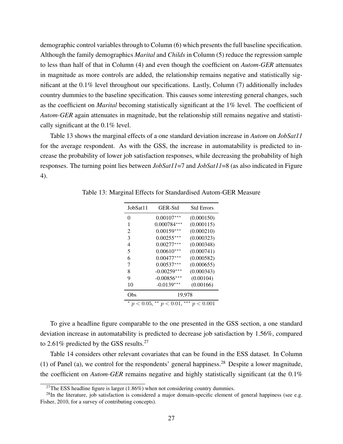demographic control variables through to Column (6) which presents the full baseline specification. Although the family demographics *Marital* and *Childs* in Column (5) reduce the regression sample to less than half of that in Column (4) and even though the coefficient on *Autom-GER* attenuates in magnitude as more controls are added, the relationship remains negative and statistically significant at the 0.1% level throughout our specifications. Lastly, Column (7) additionally includes country dummies to the baseline specification. This causes some interesting general changes, such as the coefficient on *Marital* becoming statistically significant at the 1% level. The coefficient of *Autom-GER* again attenuates in magnitude, but the relationship still remains negative and statistically significant at the 0.1% level.

Table 13 shows the marginal effects of a one standard deviation increase in *Autom* on *JobSat11* for the average respondent. As with the GSS, the increase in automatability is predicted to increase the probability of lower job satisfaction responses, while decreasing the probability of high responses. The turning point lies between *JobSat11*=7 and *JobSat11*=8 (as also indicated in Figure 4).

| JobSat11                                                                                 | GER-Std       | <b>Std Errors</b> |  |  |  |
|------------------------------------------------------------------------------------------|---------------|-------------------|--|--|--|
| 0                                                                                        | $0.00107***$  | (0.000150)        |  |  |  |
| 1                                                                                        | $0.000784***$ | (0.000115)        |  |  |  |
| 2                                                                                        | $0.00159***$  | (0.000210)        |  |  |  |
| 3                                                                                        | $0.00255***$  | (0.000323)        |  |  |  |
| $\overline{4}$                                                                           | $0.00277***$  | (0.000348)        |  |  |  |
| 5                                                                                        | $0.00610***$  | (0.000741)        |  |  |  |
| 6                                                                                        | $0.00477***$  | (0.000582)        |  |  |  |
| 7                                                                                        | $0.00537***$  | (0.000655)        |  |  |  |
| 8                                                                                        | $-0.00259***$ | (0.000343)        |  |  |  |
| 9                                                                                        | $-0.00856***$ | (0.00104)         |  |  |  |
| 10                                                                                       | $-0.0139***$  | (0.00166)         |  |  |  |
| Obs                                                                                      | 19,978        |                   |  |  |  |
| ***<br>$**$<br>∗<br>0.001<br>$p < 0.05$ ,<br>$p < 0.01$ ,<br>$\boldsymbol{p}$<br>$\,<\,$ |               |                   |  |  |  |

Table 13: Marginal Effects for Standardised Autom-GER Measure

To give a headline figure comparable to the one presented in the GSS section, a one standard deviation increase in automatability is predicted to decrease job satisfaction by 1.56%, compared to 2.61% predicted by the GSS results.<sup>27</sup>

Table 14 considers other relevant covariates that can be found in the ESS dataset. In Column (1) of Panel (a), we control for the respondents' general happiness.<sup>28</sup> Despite a lower magnitude, the coefficient on *Autom-GER* remains negative and highly statistically significant (at the 0.1%

<sup>&</sup>lt;sup>27</sup>The ESS headline figure is larger  $(1.86\%)$  when not considering country dummies.

 $^{28}$ In the literature, job satisfaction is considered a major domain-specific element of general happiness (see e.g. Fisher, 2010, for a survey of contributing concepts).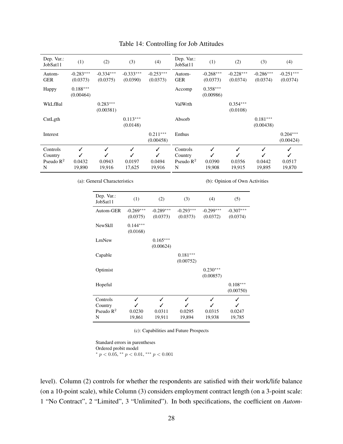| Dep. Var.:<br>JobSat11                            | (1)                     | (2)                        | (3)                        | (4)                     | Dep. Var.:<br>JobSat11                            | (1)                     | (2)                        | (3)                     | (4)                                   |
|---------------------------------------------------|-------------------------|----------------------------|----------------------------|-------------------------|---------------------------------------------------|-------------------------|----------------------------|-------------------------|---------------------------------------|
| Autom-<br><b>GER</b>                              | $-0.283***$<br>(0.0373) | $-0.334***$<br>(0.0375)    | $-0.333***$<br>(0.0390)    | $-0.253***$<br>(0.0373) | Autom-<br><b>GER</b>                              | $-0.268***$<br>(0.0373) | $-0.228***$<br>(0.0374)    | $-0.286***$<br>(0.0374) | $-0.251***$<br>(0.0374)               |
| Happy                                             | $0.188***$<br>(0.00464) |                            |                            |                         | Accomp                                            | $0.358***$<br>(0.00986) |                            |                         |                                       |
| WkLfBal                                           |                         | $0.283***$<br>(0.00381)    |                            |                         | ValWrth                                           |                         | $0.354***$<br>(0.0108)     |                         |                                       |
| CntLgth                                           |                         |                            | $0.113***$<br>(0.0148)     |                         | Absorb                                            |                         |                            | $0.181***$<br>(0.00438) |                                       |
| Interest                                          |                         |                            |                            | $0.211***$<br>(0.00458) | Enthus                                            |                         |                            |                         | $0.204***$<br>(0.00424)               |
| Controls<br>Country<br>Pseudo $\mathbb{R}^2$<br>N | ✓<br>0.0432<br>19,890   | ✓<br>✓<br>0.0943<br>19,916 | ✓<br>✓<br>0.0197<br>17,625 | ✓<br>0.0494<br>19,916   | Controls<br>Country<br>Pseudo $\mathbb{R}^2$<br>N | ✓<br>0.0390<br>19,908   | ✓<br>✓<br>0.0356<br>19,915 | 0.0442<br>19,895        | ✓<br>$\checkmark$<br>0.0517<br>19,870 |

#### Table 14: Controlling for Job Attitudes

(a): General Characteristics

(b): Opinion of Own Activities

| Dep. Var.:<br>JobSat11 | (1)         | (2)         | (3)         | (4)         | (5)         |
|------------------------|-------------|-------------|-------------|-------------|-------------|
| Autom-GER              | $-0.269***$ | $-0.289***$ | $-0.293***$ | $-0.299***$ | $-0.307***$ |
|                        | (0.0375)    | (0.0373)    | (0.0373)    | (0.0372)    | (0.0374)    |
| <b>NewSkll</b>         | $0.144***$  |             |             |             |             |
|                        | (0.0168)    |             |             |             |             |
| LrnNew                 |             | $0.165***$  |             |             |             |
|                        |             | (0.00624)   |             |             |             |
| Capable                |             |             | $0.181***$  |             |             |
|                        |             |             | (0.00752)   |             |             |
| Optimist               |             |             |             | $0.230***$  |             |
|                        |             |             |             | (0.00857)   |             |
| Hopeful                |             |             |             |             | $0.108***$  |
|                        |             |             |             |             | (0.00750)   |
| Controls               | ✓           | ✓           | ✓           | ✓           | ✓           |
| Country                |             |             |             |             |             |
| Pseudo $R^2$           | 0.0230      | 0.0311      | 0.0295      | 0.0315      | 0.0247      |
| N                      | 19,861      | 19,911      | 19,894      | 19,938      | 19,785      |

(c): Capabilities and Future Prospects

Standard errors in parentheses Ordered probit model \*  $p < 0.05$ , \*\*  $p < 0.01$ , \*\*\*  $p < 0.001$ 

level). Column (2) controls for whether the respondents are satisfied with their work/life balance (on a 10-point scale), while Column (3) considers employment contract length (on a 3-point scale: 1 "No Contract", 2 "Limited", 3 "Unlimited"). In both specifications, the coefficient on *Autom-*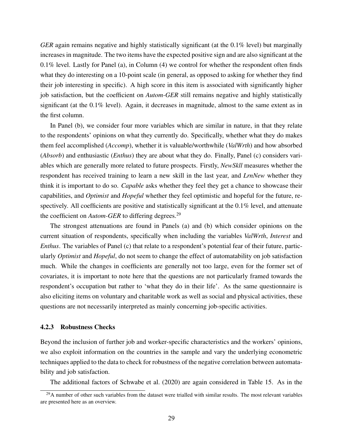*GER* again remains negative and highly statistically significant (at the 0.1% level) but marginally increases in magnitude. The two items have the expected positive sign and are also significant at the  $0.1\%$  level. Lastly for Panel (a), in Column (4) we control for whether the respondent often finds what they do interesting on a 10-point scale (in general, as opposed to asking for whether they find their job interesting in specific). A high score in this item is associated with significantly higher job satisfaction, but the coefficient on *Autom-GER* still remains negative and highly statistically significant (at the 0.1% level). Again, it decreases in magnitude, almost to the same extent as in the first column.

In Panel (b), we consider four more variables which are similar in nature, in that they relate to the respondents' opinions on what they currently do. Specifically, whether what they do makes them feel accomplished (*Accomp*), whether it is valuable/worthwhile (*ValWrth*) and how absorbed (*Absorb*) and enthusiastic (*Enthus*) they are about what they do. Finally, Panel (c) considers variables which are generally more related to future prospects. Firstly, *NewSkll* measures whether the respondent has received training to learn a new skill in the last year, and *LrnNew* whether they think it is important to do so. *Capable* asks whether they feel they get a chance to showcase their capabilities, and *Optimist* and *Hopeful* whether they feel optimistic and hopeful for the future, respectively. All coefficients are positive and statistically significant at the 0.1% level, and attenuate the coefficient on *Autom-GER* to differing degrees.<sup>29</sup>

The strongest attenuations are found in Panels (a) and (b) which consider opinions on the current situation of respondents, specifically when including the variables *ValWrth*, *Interest* and *Enthus*. The variables of Panel (c) that relate to a respondent's potential fear of their future, particularly *Optimist* and *Hopeful*, do not seem to change the effect of automatability on job satisfaction much. While the changes in coefficients are generally not too large, even for the former set of covariates, it is important to note here that the questions are not particularly framed towards the respondent's occupation but rather to 'what they do in their life'. As the same questionnaire is also eliciting items on voluntary and charitable work as well as social and physical activities, these questions are not necessarily interpreted as mainly concerning job-specific activities.

#### 4.2.3 Robustness Checks

Beyond the inclusion of further job and worker-specific characteristics and the workers' opinions, we also exploit information on the countries in the sample and vary the underlying econometric techniques applied to the data to check for robustness of the negative correlation between automatability and job satisfaction.

The additional factors of Schwabe et al. (2020) are again considered in Table 15. As in the

 $^{29}$ A number of other such variables from the dataset were trialled with similar results. The most relevant variables are presented here as an overview.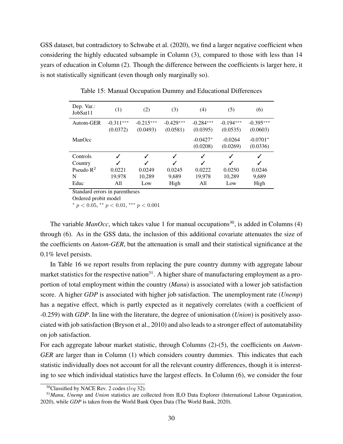GSS dataset, but contradictory to Schwabe et al. (2020), we find a larger negative coefficient when considering the highly educated subsample in Column (3), compared to those with less than 14 years of education in Column (2). Though the difference between the coefficients is larger here, it is not statistically significant (even though only marginally so).

| Dep. Var.:<br>JobSat11 | (1)         | (2)          | (3)         | (4)         | (5)         | (6)         |
|------------------------|-------------|--------------|-------------|-------------|-------------|-------------|
| Autom-GER              | $-0.311***$ | $-0.215***$  | $-0.429***$ | $-0.284***$ | $-0.194***$ | $-0.395***$ |
|                        | (0.0372)    | (0.0493)     | (0.0581)    | (0.0395)    | (0.0535)    | (0.0603)    |
| ManOcc                 |             |              |             | $-0.0427*$  | $-0.0264$   | $-0.0701*$  |
|                        |             |              |             | (0.0208)    | (0.0269)    | (0.0336)    |
| Controls               |             | ✓            | ✓           | ✓           |             | ✓           |
| Country                |             | $\checkmark$ | ✓           | J           |             |             |
| Pseudo $R^2$           | 0.0221      | 0.0249       | 0.0245      | 0.0222      | 0.0250      | 0.0246      |
| N                      | 19,978      | 10,289       | 9,689       | 19,978      | 10,289      | 9,689       |
| Educ                   | A11         | Low          | High        | All         | Low         | High        |

Table 15: Manual Occupation Dummy and Educational Differences

Standard errors in parentheses

Ordered probit model

\*  $p < 0.05$ , \*\*  $p < 0.01$ , \*\*\*  $p < 0.001$ 

The variable *ManOcc*, which takes value 1 for manual occupations<sup>30</sup>, is added in Columns (4) through (6). As in the GSS data, the inclusion of this additional covariate attenuates the size of the coefficients on *Autom-GER*, but the attenuation is small and their statistical significance at the 0.1% level persists.

In Table 16 we report results from replacing the pure country dummy with aggregate labour market statistics for the respective nation<sup>31</sup>. A higher share of manufacturing employment as a proportion of total employment within the country (*Manu*) is associated with a lower job satisfaction score. A higher *GDP* is associated with higher job satisfaction. The unemployment rate (*Unemp*) has a negative effect, which is partly expected as it negatively correlates (with a coefficient of -0.259) with *GDP*. In line with the literature, the degree of unionisation (*Union*) is positively associated with job satisfaction (Bryson et al., 2010) and also leads to a stronger effect of automatability on job satisfaction.

For each aggregate labour market statistic, through Columns (2)-(5), the coefficients on *Autom-GER* are larger than in Column (1) which considers country dummies. This indicates that each statistic individually does not account for all the relevant country differences, though it is interesting to see which individual statistics have the largest effects. In Column (6), we consider the four

 $30$ Classified by NACE Rev. 2 codes (leq 32).

<sup>31</sup>*Manu*, *Unemp* and *Union* statistics are collected from ILO Data Explorer (International Labour Organization, 2020), while *GDP* is taken from the World Bank Open Data (The World Bank, 2020).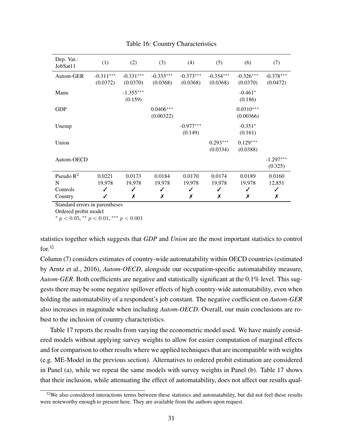| Dep. Var.:<br>JobSat11                   | (1)                        | (2)                        | (3)                        | (4)                        | (5)                        | (6)                        | (7)                        |
|------------------------------------------|----------------------------|----------------------------|----------------------------|----------------------------|----------------------------|----------------------------|----------------------------|
| Autom-GER                                | $-0.311***$<br>(0.0372)    | $-0.331***$<br>(0.0370)    | $-0.333***$<br>(0.0368)    | $-0.373***$<br>(0.0368)    | $-0.354***$<br>(0.0368)    | $-0.326***$<br>(0.0370)    | $-0.378***$<br>(0.0472)    |
| Manu                                     |                            | $-1.355***$<br>(0.159)     |                            |                            |                            | $-0.461*$<br>(0.186)       |                            |
| <b>GDP</b>                               |                            |                            | $0.0406***$<br>(0.00322)   |                            |                            | $0.0310***$<br>(0.00366)   |                            |
| Unemp                                    |                            |                            |                            | $-0.977***$<br>(0.149)     |                            | $-0.351*$<br>(0.161)       |                            |
| Union                                    |                            |                            |                            |                            | $0.293***$<br>(0.0334)     | $0.129***$<br>(0.0388)     |                            |
| Autom-OECD                               |                            |                            |                            |                            |                            |                            | $-1.297***$<br>(0.325)     |
| Pseudo $R^2$<br>N<br>Controls<br>Country | 0.0221<br>19,978<br>✓<br>✓ | 0.0173<br>19,978<br>✓<br>Х | 0.0184<br>19,978<br>✓<br>Х | 0.0170<br>19,978<br>✓<br>Х | 0.0174<br>19,978<br>✓<br>Х | 0.0189<br>19,978<br>✓<br>Х | 0.0160<br>12,851<br>✓<br>Х |

#### Table 16: Country Characteristics

Standard errors in parentheses

Ordered probit model

\*  $p < 0.05$ , \*\*  $p < 0.01$ , \*\*\*  $p < 0.001$ 

statistics together which suggests that *GDP* and *Union* are the most important statistics to control  $for.32$ 

Column (7) considers estimates of country-wide automatability within OECD countries (estimated by Arntz et al., 2016), *Autom-OECD*, alongside our occupation-specific automatability measure, *Autom-GER*. Both coefficients are negative and statistically significant at the 0.1% level. This suggests there may be some negative spillover effects of high country-wide automatability, even when holding the automatability of a respondent's job constant. The negative coefficient on *Autom-GER* also increases in magnitude when including *Autom-OECD*. Overall, our main conclusions are robust to the inclusion of country characteristics.

Table 17 reports the results from varying the econometric model used. We have mainly considered models without applying survey weights to allow for easier computation of marginal effects and for comparison to other results where we applied techniques that are incompatible with weights (e.g. ME-Model in the previous section). Alternatives to ordered probit estimation are considered in Panel (a), while we repeat the same models with survey weights in Panel (b). Table 17 shows that their inclusion, while attenuating the effect of automatability, does not affect our results qual-

 $32$ We also considered interactions terms between these statistics and automatability, but did not feel these results were noteworthy enough to present here. They are available from the authors upon request.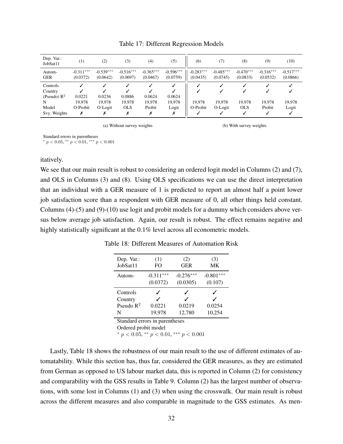| Dep. Var.:<br>JobSat11 | $^{(1)}$                | (2)                     | (3)                     | (4)                     | (5)                     | (6)                     | (7)                     | $^{(8)}$                | (9)                     | (10)                    |
|------------------------|-------------------------|-------------------------|-------------------------|-------------------------|-------------------------|-------------------------|-------------------------|-------------------------|-------------------------|-------------------------|
| Autom-<br><b>GER</b>   | $-0.311***$<br>(0.0372) | $-0.539***$<br>(0.0642) | $-0.516***$<br>(0.0697) | $-0.365***$<br>(0.0467) | $-0.596***$<br>(0.0759) | $-0.283***$<br>(0.0435) | $-0.485***$<br>(0.0745) | $-0.470***$<br>(0.0833) | $-0.316***$<br>(0.0532) | $-0.517***$<br>(0.0866) |
| Controls<br>Country    |                         |                         |                         |                         |                         |                         |                         |                         |                         |                         |
| (Pseudo) $R^2$<br>N    | 0.0221<br>19.978        | 0.0236<br>19.978        | 0.0886<br>19,978        | 0.0624<br>19,978        | 0.0624<br>19,978        | 19.978                  | 19.978                  | 19.978                  | 19.978                  | 19,978                  |
| Model<br>Svy. Weights  | O-Probit<br>х           | O-Logit<br>Х            | <b>OLS</b>              | Probit                  | Logit                   | O-Probit                | O-Logit                 | <b>OLS</b><br>✓         | Probit                  | Logit                   |

Table 17: Different Regression Models

(a) Without survey weights

(b) With survey weights

Standard errors in parentheses

\*  $p < 0.05$ , \*\*  $p < 0.01$ , \*\*\*  $p < 0.001$ 

#### itatively.

We see that our main result is robust to considering an ordered logit model in Columns (2) and (7), and OLS in Columns (3) and (8). Using OLS specifications we can use the direct interpretation that an individual with a GER measure of 1 is predicted to report an almost half a point lower job satisfaction score than a respondent with GER measure of 0, all other things held constant. Columns (4)-(5) and (9)-(10) use logit and probit models for a dummy which considers above versus below average job satisfaction. Again, our result is robust. The effect remains negative and highly statistically significant at the  $0.1\%$  level across all econometric models.

| Dep. Var.:<br>JobSat11                   | (1)<br>FO                        | (2)<br><b>GER</b>       | (3)<br>MK              |  |  |  |
|------------------------------------------|----------------------------------|-------------------------|------------------------|--|--|--|
| Autom-                                   | $-0.311***$<br>(0.0372)          | $-0.276***$<br>(0.0305) | $-0.801***$<br>(0.107) |  |  |  |
| Controls<br>Country<br>Pseudo $R^2$<br>N | J<br>$\cdot$<br>0.0221<br>19,978 | 0.0219<br>12,780        | 0.0254<br>10,254       |  |  |  |
| Standard errors in parentheses           |                                  |                         |                        |  |  |  |

Table 18: Different Measures of Automation Risk

Ordered probit model

\*  $p < 0.05$ , \*\*  $p < 0.01$ , \*\*\*  $p < 0.001$ 

Lastly, Table 18 shows the robustness of our main result to the use of different estimates of automatability. While this section has, thus far, considered the GER measures, as they are estimated from German as opposed to US labour market data, this is reported in Column (2) for consistency and comparability with the GSS results in Table 9. Column (2) has the largest number of observations, with some lost in Columns (1) and (3) when using the crosswalk. Our main result is robust across the different measures and also comparable in magnitude to the GSS estimates. As men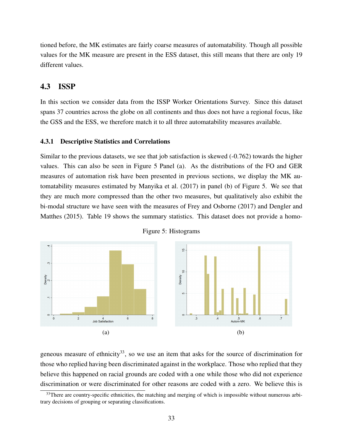tioned before, the MK estimates are fairly coarse measures of automatability. Though all possible values for the MK measure are present in the ESS dataset, this still means that there are only 19 different values.

### 4.3 ISSP

In this section we consider data from the ISSP Worker Orientations Survey. Since this dataset spans 37 countries across the globe on all continents and thus does not have a regional focus, like the GSS and the ESS, we therefore match it to all three automatability measures available.

#### 4.3.1 Descriptive Statistics and Correlations

Similar to the previous datasets, we see that job satisfaction is skewed (-0.762) towards the higher values. This can also be seen in Figure 5 Panel (a). As the distributions of the FO and GER measures of automation risk have been presented in previous sections, we display the MK automatability measures estimated by Manyika et al. (2017) in panel (b) of Figure 5. We see that they are much more compressed than the other two measures, but qualitatively also exhibit the bi-modal structure we have seen with the measures of Frey and Osborne (2017) and Dengler and Matthes (2015). Table 19 shows the summary statistics. This dataset does not provide a homo-





geneous measure of ethnicity<sup>33</sup>, so we use an item that asks for the source of discrimination for those who replied having been discriminated against in the workplace. Those who replied that they believe this happened on racial grounds are coded with a one while those who did not experience discrimination or were discriminated for other reasons are coded with a zero. We believe this is

 $33$ There are country-specific ethnicities, the matching and merging of which is impossible without numerous arbitrary decisions of grouping or separating classifications.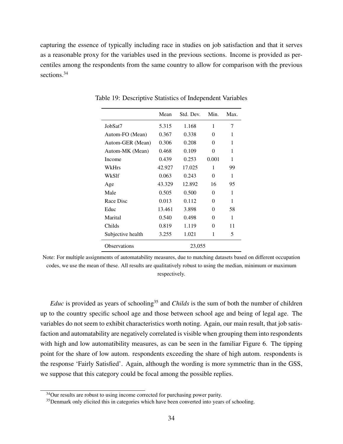capturing the essence of typically including race in studies on job satisfaction and that it serves as a reasonable proxy for the variables used in the previous sections. Income is provided as percentiles among the respondents from the same country to allow for comparison with the previous sections.<sup>34</sup>

|                     | Mean   | Std. Dev. | Min.  | Max. |
|---------------------|--------|-----------|-------|------|
| JobSat7             | 5.315  | 1.168     | 1     | 7    |
| Autom-FO (Mean)     | 0.367  | 0.338     | 0     | 1    |
| Autom-GER (Mean)    | 0.306  | 0.208     | 0     | 1    |
| Autom-MK (Mean)     | 0.468  | 0.109     | 0     | 1    |
| Income              | 0.439  | 0.253     | 0.001 | 1    |
| WkHrs               | 42.927 | 17.025    | 1     | 99   |
| WkS1f               | 0.063  | 0.243     | 0     | 1    |
| Age                 | 43.329 | 12.892    | 16    | 95   |
| Male                | 0.505  | 0.500     | 0     | 1    |
| Race Disc           | 0.013  | 0.112     | 0     | 1    |
| Educ                | 13.461 | 3.898     | 0     | 58   |
| Marital             | 0.540  | 0.498     | 0     | 1    |
| Childs              | 0.819  | 1.119     | 0     | 11   |
| Subjective health   | 3.255  | 1.021     | 1     | 5    |
| <b>Observations</b> |        | 23,055    |       |      |

Table 19: Descriptive Statistics of Independent Variables

Note: For multiple assignments of automatability measures, due to matching datasets based on different occupation codes, we use the mean of these. All results are qualitatively robust to using the median, minimum or maximum respectively.

*Educ* is provided as years of schooling<sup>35</sup> and *Childs* is the sum of both the number of children up to the country specific school age and those between school age and being of legal age. The variables do not seem to exhibit characteristics worth noting. Again, our main result, that job satisfaction and automatability are negatively correlated is visible when grouping them into respondents with high and low automatibility measures, as can be seen in the familiar Figure 6. The tipping point for the share of low autom. respondents exceeding the share of high autom. respondents is the response 'Fairly Satisfied'. Again, although the wording is more symmetric than in the GSS, we suppose that this category could be focal among the possible replies.

<sup>&</sup>lt;sup>34</sup>Our results are robust to using income corrected for purchasing power parity.

 $35$  Denmark only elicited this in categories which have been converted into years of schooling.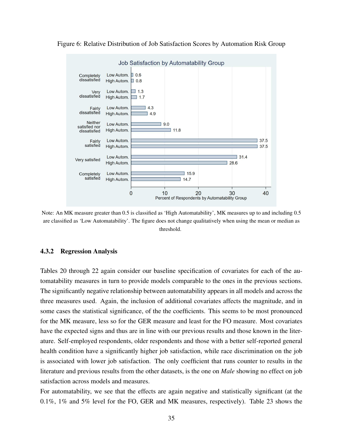

Figure 6: Relative Distribution of Job Satisfaction Scores by Automation Risk Group

Note: An MK measure greater than 0.5 is classified as 'High Automatability', MK measures up to and including 0.5 are classified as 'Low Automatability'. The figure does not change qualitatively when using the mean or median as threshold.

#### 4.3.2 Regression Analysis

Tables 20 through 22 again consider our baseline specification of covariates for each of the automatability measures in turn to provide models comparable to the ones in the previous sections. The significantly negative relationship between automatability appears in all models and across the three measures used. Again, the inclusion of additional covariates affects the magnitude, and in some cases the statistical significance, of the the coefficients. This seems to be most pronounced for the MK measure, less so for the GER measure and least for the FO measure. Most covariates have the expected signs and thus are in line with our previous results and those known in the literature. Self-employed respondents, older respondents and those with a better self-reported general health condition have a significantly higher job satisfaction, while race discrimination on the job is associated with lower job satisfaction. The only coefficient that runs counter to results in the literature and previous results from the other datasets, is the one on *Male* showing no effect on job satisfaction across models and measures.

For automatability, we see that the effects are again negative and statistically significant (at the 0.1%, 1% and 5% level for the FO, GER and MK measures, respectively). Table 23 shows the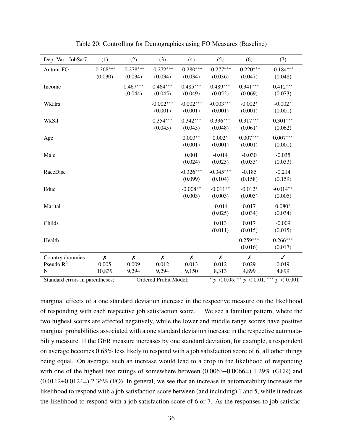| Dep. Var.: JobSat7 | (1)                    | (2)                    | (3)                    | (4)                    | (5)                    | (6)                    | (7)                    |
|--------------------|------------------------|------------------------|------------------------|------------------------|------------------------|------------------------|------------------------|
| Autom-FO           | $-0.368***$<br>(0.030) | $-0.278***$<br>(0.034) | $-0.272***$<br>(0.034) | $-0.280***$<br>(0.034) | $-0.277***$<br>(0.036) | $-0.220***$<br>(0.047) | $-0.184***$<br>(0.048) |
| Income             |                        | $0.467***$<br>(0.044)  | $0.464***$<br>(0.045)  | $0.485***$<br>(0.049)  | $0.489***$<br>(0.052)  | $0.341***$<br>(0.069)  | $0.412***$<br>(0.073)  |
| WkHrs              |                        |                        | $-0.002***$<br>(0.001) | $-0.002***$<br>(0.001) | $-0.003***$<br>(0.001) | $-0.002*$<br>(0.001)   | $-0.002*$<br>(0.001)   |
| WkSlf              |                        |                        | $0.354***$<br>(0.045)  | $0.342***$<br>(0.045)  | $0.336***$<br>(0.048)  | $0.317***$<br>(0.061)  | $0.301***$<br>(0.062)  |
| Age                |                        |                        |                        | $0.003**$<br>(0.001)   | $0.002*$<br>(0.001)    | $0.007***$<br>(0.001)  | $0.007***$<br>(0.001)  |
| Male               |                        |                        |                        | 0.001<br>(0.024)       | $-0.014$<br>(0.025)    | $-0.030$<br>(0.033)    | $-0.035$<br>(0.033)    |
| RaceDisc           |                        |                        |                        | $-0.326***$<br>(0.099) | $-0.345***$<br>(0.104) | $-0.185$<br>(0.158)    | $-0.214$<br>(0.159)    |
| Educ               |                        |                        |                        | $-0.008**$<br>(0.003)  | $-0.011**$<br>(0.003)  | $-0.012*$<br>(0.005)   | $-0.014**$<br>(0.005)  |
| Marital            |                        |                        |                        |                        | $-0.014$<br>(0.025)    | 0.017<br>(0.034)       | $0.080*$<br>(0.034)    |
| Childs             |                        |                        |                        |                        | 0.013<br>(0.011)       | 0.017<br>(0.015)       | $-0.009$<br>(0.015)    |
| Health             |                        |                        |                        |                        |                        | $0.259***$<br>(0.016)  | $0.266***$<br>(0.017)  |
| Country dummies    | $\pmb{\mathsf{X}}$     | $\pmb{\chi}$           | $\boldsymbol{x}$       | X                      | $\boldsymbol{x}$       | X                      | $\checkmark$           |
| Pseudo $R^2$<br>N  | 0.005<br>10,839        | 0.009<br>9,294         | 0.012<br>9,294         | 0.013<br>9,150         | 0.012<br>8,313         | 0.029<br>4,899         | 0.049<br>4,899         |

Table 20: Controlling for Demographics using FO Measures (Baseline)

Standard errors in parentheses; Ordered Probit Model; \*\*  $p < 0.01$ , \*\*\*  $p < 0.001$ 

marginal effects of a one standard deviation increase in the respective measure on the likelihood of responding with each respective job satisfaction score. We see a familiar pattern, where the two highest scores are affected negatively, while the lower and middle range scores have positive marginal probabilities associated with a one standard deviation increase in the respective automatability measure. If the GER measure increases by one standard deviation, for example, a respondent on average becomes 0.68% less likely to respond with a job satisfaction score of 6, all other things being equal. On average, such an increase would lead to a drop in the likelihood of responding with one of the highest two ratings of somewhere between  $(0.0063+0.0066=)$  1.29% (GER) and (0.0112+0.0124=) 2.36% (FO). In general, we see that an increase in automatability increases the likelihood to respond with a job satisfaction score between (and including) 1 and 5, while it reduces the likelihood to respond with a job satisfaction score of 6 or 7. As the responses to job satisfac-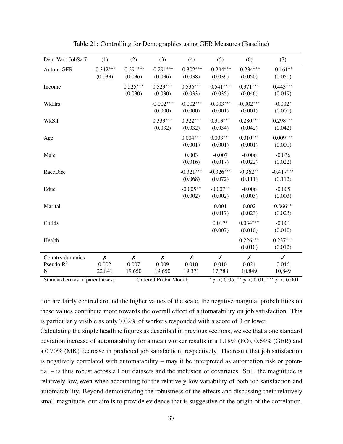| Dep. Var.: JobSat7 | (1)                    | (2)                    | (3)                    | (4)                    | (5)                    | (6)                    | (7)                    |
|--------------------|------------------------|------------------------|------------------------|------------------------|------------------------|------------------------|------------------------|
| Autom-GER          | $-0.342***$<br>(0.033) | $-0.291***$<br>(0.036) | $-0.291***$<br>(0.036) | $-0.302***$<br>(0.038) | $-0.294***$<br>(0.039) | $-0.234***$<br>(0.050) | $-0.161**$<br>(0.050)  |
| Income             |                        | $0.525***$<br>(0.030)  | $0.529***$<br>(0.030)  | $0.536***$<br>(0.033)  | $0.541***$<br>(0.035)  | $0.371***$<br>(0.046)  | $0.443***$<br>(0.049)  |
| WkHrs              |                        |                        | $-0.002***$<br>(0.000) | $-0.002***$<br>(0.000) | $-0.003***$<br>(0.001) | $-0.002***$<br>(0.001) | $-0.002*$<br>(0.001)   |
| WkSlf              |                        |                        | $0.339***$<br>(0.032)  | $0.322***$<br>(0.032)  | $0.313***$<br>(0.034)  | $0.280***$<br>(0.042)  | $0.298***$<br>(0.042)  |
| Age                |                        |                        |                        | $0.004***$<br>(0.001)  | $0.003***$<br>(0.001)  | $0.010***$<br>(0.001)  | $0.009***$<br>(0.001)  |
| Male               |                        |                        |                        | 0.003<br>(0.016)       | $-0.007$<br>(0.017)    | $-0.006$<br>(0.022)    | $-0.036$<br>(0.022)    |
| RaceDisc           |                        |                        |                        | $-0.321***$<br>(0.068) | $-0.326***$<br>(0.072) | $-0.362**$<br>(0.111)  | $-0.417***$<br>(0.112) |
| Educ               |                        |                        |                        | $-0.005**$<br>(0.002)  | $-0.007**$<br>(0.002)  | $-0.006$<br>(0.003)    | $-0.005$<br>(0.003)    |
| Marital            |                        |                        |                        |                        | 0.001<br>(0.017)       | 0.002<br>(0.023)       | $0.066**$<br>(0.023)   |
| Childs             |                        |                        |                        |                        | $0.017*$<br>(0.007)    | $0.034***$<br>(0.010)  | $-0.001$<br>(0.010)    |
| Health             |                        |                        |                        |                        |                        | $0.226***$<br>(0.010)  | $0.237***$<br>(0.012)  |
| Country dummies    | $\pmb{\mathsf{X}}$     | $\pmb{\mathsf{X}}$     | $\chi$                 | $\pmb{\mathsf{X}}$     | $\pmb{\chi}$           | $\pmb{\mathsf{X}}$     | $\checkmark$           |
| Pseudo $R^2$       | 0.002                  | 0.007                  | 0.009                  | 0.010                  | 0.010                  | 0.024                  | 0.046                  |
| N                  | 22,841                 | 19,650                 | 19,650                 | 19,371                 | 17,788                 | 10,849                 | 10,849                 |

Table 21: Controlling for Demographics using GER Measures (Baseline)

Standard errors in parentheses; Ordered Probit Model;  $p < 0.05$ , \*\*  $p < 0.01$ , \*\*  $p < 0.001$ 

tion are fairly centred around the higher values of the scale, the negative marginal probabilities on these values contribute more towards the overall effect of automatability on job satisfaction. This is particularly visible as only 7.02% of workers responded with a score of 3 or lower.

Calculating the single headline figures as described in previous sections, we see that a one standard deviation increase of automatability for a mean worker results in a 1.18% (FO), 0.64% (GER) and a 0.70% (MK) decrease in predicted job satisfaction, respectively. The result that job satisfaction is negatively correlated with automatability – may it be interpreted as automation risk or potential – is thus robust across all our datasets and the inclusion of covariates. Still, the magnitude is relatively low, even when accounting for the relatively low variability of both job satisfaction and automatability. Beyond demonstrating the robustness of the effects and discussing their relatively small magnitude, our aim is to provide evidence that is suggestive of the origin of the correlation.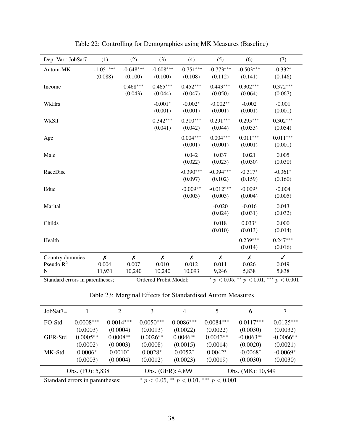| Dep. Var.: JobSat7              | (1)                    | (2)                    | (3)                    | (4)                    | (5)                    | (6)                                | (7)                   |
|---------------------------------|------------------------|------------------------|------------------------|------------------------|------------------------|------------------------------------|-----------------------|
| Autom-MK                        | $-1.051***$<br>(0.088) | $-0.648***$<br>(0.100) | $-0.608***$<br>(0.100) | $-0.751***$<br>(0.108) | $-0.773***$<br>(0.112) | $-0.503***$<br>(0.141)             | $-0.332*$<br>(0.146)  |
| Income                          |                        | $0.468***$<br>(0.043)  | $0.465***$<br>(0.044)  | $0.452***$<br>(0.047)  | $0.443***$<br>(0.050)  | $0.302***$<br>(0.064)              | $0.372***$<br>(0.067) |
| WkHrs                           |                        |                        | $-0.001*$<br>(0.001)   | $-0.002*$<br>(0.001)   | $-0.002**$<br>(0.001)  | $-0.002$<br>(0.001)                | $-0.001$<br>(0.001)   |
| WkSlf                           |                        |                        | $0.342***$<br>(0.041)  | $0.310***$<br>(0.042)  | $0.291***$<br>(0.044)  | $0.295***$<br>(0.053)              | $0.302***$<br>(0.054) |
| Age                             |                        |                        |                        | $0.004***$<br>(0.001)  | $0.004***$<br>(0.001)  | $0.011***$<br>(0.001)              | $0.011***$<br>(0.001) |
| Male                            |                        |                        |                        | 0.042<br>(0.022)       | 0.037<br>(0.023)       | 0.021<br>(0.030)                   | 0.005<br>(0.030)      |
| RaceDisc                        |                        |                        |                        | $-0.390***$<br>(0.097) | $-0.394***$<br>(0.102) | $-0.317*$<br>(0.159)               | $-0.361*$<br>(0.160)  |
| Educ                            |                        |                        |                        | $-0.009**$<br>(0.003)  | $-0.012***$<br>(0.003) | $-0.009*$<br>(0.004)               | $-0.004$<br>(0.005)   |
| Marital                         |                        |                        |                        |                        | $-0.020$<br>(0.024)    | $-0.016$<br>(0.031)                | 0.043<br>(0.032)      |
| Childs                          |                        |                        |                        |                        | 0.018<br>(0.010)       | $0.033*$<br>(0.013)                | 0.000<br>(0.014)      |
| Health                          |                        |                        |                        |                        |                        | $0.239***$<br>(0.014)              | $0.247***$<br>(0.016) |
| Country dummies                 | X                      | Х                      | $\pmb{\mathsf{X}}$     | $\boldsymbol{x}$       | $\pmb{\mathsf{X}}$     | X                                  | $\checkmark$          |
| Pseudo $R^2$                    | 0.004                  | 0.007                  | 0.010                  | 0.012                  | 0.011                  | 0.026                              | 0.049                 |
| ${\bf N}$                       | 11,931                 | 10,240                 | 10,240                 | 10,093                 | 9,246                  | 5,838                              | 5,838                 |
| Standard errors in parentheses; |                        |                        | Ordered Probit Model;  |                        |                        | * $p < 0.05$ , ** $p < 0.01$ , *** | p < 0.001             |

Table 22: Controlling for Demographics using MK Measures (Baseline)

Table 23: Marginal Effects for Standardised Autom Measures

| $JobSat7=$ |                                 | 2           | 3           | $\overline{4}$                 |                  | 6                 | 7            |
|------------|---------------------------------|-------------|-------------|--------------------------------|------------------|-------------------|--------------|
| FO-Std     | $0.0008***$                     | $0.0014***$ | $0.0050***$ | $0.0086***$                    | $0.0084***$      | $-0.0117***$      | $-0.0125***$ |
|            | (0.0003)                        | (0.0004)    | (0.0013)    | (0.0022)                       | (0.0022)         | (0.0030)          | (0.0032)     |
| GER-Std    | $0.0005**$                      | $0.0008**$  | $0.0026**$  | $0.0046**$                     | $0.0043**$       | $-0.0063**$       | $-0.0066**$  |
|            | (0.0002)                        | (0.0003)    | (0.0008)    | (0.0015)                       | (0.0014)         | (0.0020)          | (0.0021)     |
| MK-Std     | $0.0006*$                       | $0.0010*$   | $0.0028*$   | $0.0052*$                      | $0.0042*$        | $-0.0068*$        | $-0.0069*$   |
|            | (0.0003)                        | (0.0004)    | (0.0012)    | (0.0023)                       | (0.0019)         | (0.0030)          | (0.0030)     |
|            | Obs. (FO): 5,838                |             |             | Obs. (GER): 4,899              |                  | Obs. (MK): 10,849 |              |
|            | Standard errors in parentheses; |             |             | * $p < 0.05$ , ** $p < 0.01$ , | ***<br>p < 0.001 |                   |              |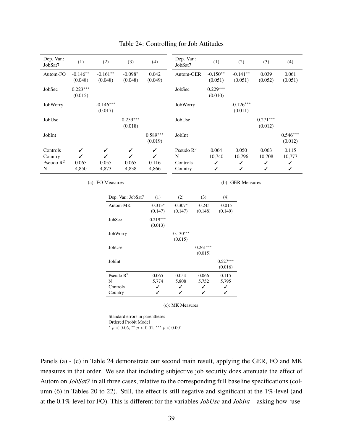| Dep. Var.:<br>JobSat7                    | (1)                   | (2)                      | (3)                      | (4)                                 | Dep. Var.:<br>JobSat7                             | (1)                       | (2)                       | (3)                       | (4)                       |
|------------------------------------------|-----------------------|--------------------------|--------------------------|-------------------------------------|---------------------------------------------------|---------------------------|---------------------------|---------------------------|---------------------------|
| Autom-FO                                 | $-0.146**$<br>(0.048) | $-0.161**$<br>(0.048)    | $-0.098*$<br>(0.048)     | 0.042<br>(0.049)                    | Autom-GER                                         | $-0.150**$<br>(0.051)     | $-0.141**$<br>(0.051)     | 0.039<br>(0.052)          | 0.061<br>(0.051)          |
| JobSec                                   | $0.223***$<br>(0.015) |                          |                          |                                     | JobSec                                            | $0.229***$<br>(0.010)     |                           |                           |                           |
| JobWorry                                 |                       | $-0.146***$<br>(0.017)   |                          |                                     | JobWorry                                          |                           | $-0.126***$<br>(0.011)    |                           |                           |
| JobUse                                   |                       |                          | $0.259***$<br>(0.018)    |                                     | JobUse                                            |                           |                           | $0.271***$<br>(0.012)     |                           |
| JobInt                                   |                       |                          |                          | $0.589***$<br>(0.019)               | JobInt                                            |                           |                           |                           | $0.546***$<br>(0.012)     |
| Controls<br>Country<br>Pseudo $R^2$<br>N | ✓<br>0.065<br>4,850   | ✓<br>✓<br>0.055<br>4,873 | ✓<br>✓<br>0.065<br>4,838 | $\checkmark$<br>✓<br>0.116<br>4,866 | Pseudo $\mathbb{R}^2$<br>N<br>Controls<br>Country | 0.064<br>10,740<br>✓<br>✓ | 0.050<br>10,796<br>✓<br>✓ | 0.063<br>10,708<br>✓<br>✓ | 0.115<br>10,777<br>✓<br>✓ |

#### Table 24: Controlling for Job Attitudes

(a): FO Measures

(b): GER Measures

| Dep. Var.: JobSat7    | (1)        | (2)         | (3)        | (4)        |
|-----------------------|------------|-------------|------------|------------|
| Autom-MK              | $-0.313*$  | $-0.307*$   | $-0.245$   | $-0.015$   |
|                       | (0.147)    | (0.147)     | (0.148)    | (0.149)    |
| JobSec                | $0.219***$ |             |            |            |
|                       | (0.013)    |             |            |            |
| JobWorry              |            | $-0.130***$ |            |            |
|                       |            | (0.015)     |            |            |
| JobUse                |            |             | $0.261***$ |            |
|                       |            |             | (0.015)    |            |
| JobInt                |            |             |            | $0.527***$ |
|                       |            |             |            | (0.016)    |
| Pseudo $\mathbb{R}^2$ | 0.065      | 0.054       | 0.066      | 0.115      |
| N                     | 5,774      | 5,808       | 5,752      | 5,795      |
| Controls              |            |             |            |            |
| Country               |            |             |            |            |

(c): MK Measures

Standard errors in parentheses Ordered Probit Model \*  $p < 0.05$ , \*\*  $p < 0.01$ , \*\*\*  $p < 0.001$ 

Panels (a) - (c) in Table 24 demonstrate our second main result, applying the GER, FO and MK measures in that order. We see that including subjective job security does attenuate the effect of Autom on *JobSat7* in all three cases, relative to the corresponding full baseline specifications (column (6) in Tables 20 to 22). Still, the effect is still negative and significant at the 1%-level (and at the 0.1% level for FO). This is different for the variables *JobUse* and *JobInt* – asking how 'use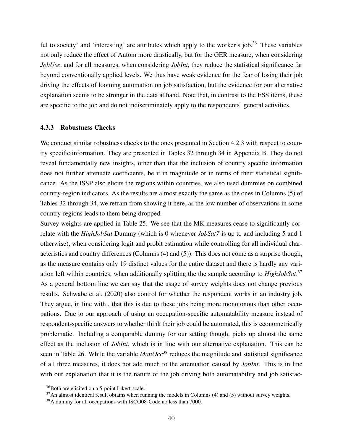ful to society' and 'interesting' are attributes which apply to the worker's job.<sup>36</sup> These variables not only reduce the effect of Autom more drastically, but for the GER measure, when considering *JobUse*, and for all measures, when considering *JobInt*, they reduce the statistical significance far beyond conventionally applied levels. We thus have weak evidence for the fear of losing their job driving the effects of looming automation on job satisfaction, but the evidence for our alternative explanation seems to be stronger in the data at hand. Note that, in contrast to the ESS items, these are specific to the job and do not indiscriminately apply to the respondents' general activities.

#### 4.3.3 Robustness Checks

We conduct similar robustness checks to the ones presented in Section 4.2.3 with respect to country specific information. They are presented in Tables 32 through 34 in Appendix B. They do not reveal fundamentally new insights, other than that the inclusion of country specific information does not further attenuate coefficients, be it in magnitude or in terms of their statistical significance. As the ISSP also elicits the regions within countries, we also used dummies on combined country-region indicators. As the results are almost exactly the same as the ones in Columns (5) of Tables 32 through 34, we refrain from showing it here, as the low number of observations in some country-regions leads to them being dropped.

Survey weights are applied in Table 25. We see that the MK measures cease to significantly correlate with the *HighJobSat* Dummy (which is 0 whenever *JobSat7* is up to and including 5 and 1 otherwise), when considering logit and probit estimation while controlling for all individual characteristics and country differences (Columns (4) and (5)). This does not come as a surprise though, as the measure contains only 19 distinct values for the entire dataset and there is hardly any variation left within countries, when additionally splitting the the sample according to *HighJobSat*. 37 As a general bottom line we can say that the usage of survey weights does not change previous results. Schwabe et al. (2020) also control for whether the respondent works in an industry job. They argue, in line with , that this is due to these jobs being more monotonous than other occupations. Due to our approach of using an occupation-specific automatability measure instead of respondent-specific answers to whether think their job could be automated, this is econometrically problematic. Including a comparable dummy for our setting though, picks up almost the same effect as the inclusion of *JobInt*, which is in line with our alternative explanation. This can be seen in Table 26. While the variable  $ManOcc^{38}$  reduces the magnitude and statistical significance of all three measures, it does not add much to the attenuation caused by *JobInt*. This is in line with our explanation that it is the nature of the job driving both automatability and job satisfac-

<sup>36</sup>Both are elicited on a 5-point Likert-scale.

 $37$ An almost identical result obtains when running the models in Columns (4) and (5) without survey weights.

<sup>38</sup>A dummy for all occupations with ISCO08-Code no less than 7000.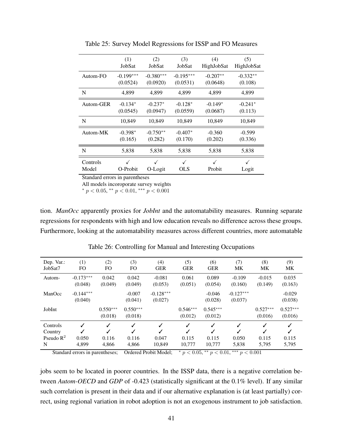|           | (1)         | (2)         | (3)         | (4)        | (5)        |
|-----------|-------------|-------------|-------------|------------|------------|
|           | JobSat      | JobSat      | JobSat      | HighJobSat | HighJobSat |
| Autom-FO  | $-0.199***$ | $-0.380***$ | $-0.195***$ | $-0.207**$ | $-0.332**$ |
|           | (0.0524)    | (0.0920)    | (0.0531)    | (0.0648)   | (0.108)    |
| N         | 4,899       | 4,899       | 4.899       | 4,899      | 4,899      |
| Autom-GER | $-0.134*$   | $-0.237*$   | $-0.128*$   | $-0.149*$  | $-0.241*$  |
|           | (0.0545)    | (0.0947)    | (0.0559)    | (0.0687)   | (0.113)    |
| N         | 10,849      | 10,849      | 10,849      | 10,849     | 10,849     |
| Autom-MK  | $-0.398*$   | $-0.750**$  | $-0.407*$   | $-0.360$   | $-0.599$   |
|           | (0.165)     | (0.282)     | (0.170)     | (0.202)    | (0.336)    |
| N         | 5,838       | 5,838       | 5,838       | 5,838      | 5,838      |
| Controls  | ✓           | O-Logit     | ✓           | √          | ✓          |
| Model     | O-Probit    |             | OLS         | Probit     | Logit      |

Table 25: Survey Model Regressions for ISSP and FO Measures

Standard errors in parentheses

All models incoroporate survey weights

\*  $p < 0.05$ , \*\*  $p < 0.01$ , \*\*\*  $p < 0.001$ 

tion. *ManOcc* apparently proxies for *JobInt* and the automatability measures. Running separate regressions for respondents with high and low education reveals no difference across these groups. Furthermore, looking at the automatability measures across different countries, more automatable

| Dep. Var.:<br>JobSat7                    | (1)<br>FO                      | (2)<br>FO             | (3)<br>FO             | (4)<br><b>GER</b>                    | (5)<br><b>GER</b>     | (6)<br><b>GER</b>               | (7)<br>MK                | (8)<br>MK                           | (9)<br>MK             |
|------------------------------------------|--------------------------------|-----------------------|-----------------------|--------------------------------------|-----------------------|---------------------------------|--------------------------|-------------------------------------|-----------------------|
| Autom-                                   | $-0.173***$<br>(0.048)         | 0.042<br>(0.049)      | 0.042<br>(0.049)      | $-0.081$<br>(0.053)                  | 0.061<br>(0.051)      | 0.089<br>(0.054)                | $-0.109$<br>(0.160)      | $-0.015$<br>(0.149)                 | 0.035<br>(0.163)      |
| ManOcc                                   | $-0.144***$<br>(0.040)         |                       | $-0.007$<br>(0.041)   | $-0.128***$<br>(0.027)               |                       | $-0.046$<br>(0.028)             | $-0.127***$<br>(0.037)   |                                     | $-0.029$<br>(0.038)   |
| JobInt                                   |                                | $0.550***$<br>(0.018) | $0.550***$<br>(0.018) |                                      | $0.546***$<br>(0.012) | $0.545***$<br>(0.012)           |                          | $0.527***$<br>(0.016)               | $0.527***$<br>(0.016) |
| Controls<br>Country<br>Pseudo $R^2$<br>N | $\checkmark$<br>0.050<br>4,899 | ✓<br>0.116<br>4,866   | ✓<br>0.116<br>4,866   | ✓<br>$\checkmark$<br>0.047<br>10,849 | 0.115<br>10,777       | $\checkmark$<br>0.115<br>10,777 | ✓<br>✓<br>0.050<br>5,838 | ✓<br>$\checkmark$<br>0.115<br>5,795 | 0.115<br>5,795        |

Table 26: Controlling for Manual and Interesting Occupations

Standard errors in parentheses; Ordered Probit Model;  $\bar{p} < 0.05$ ,  $\bar{p} < 0.01$ ,  $\bar{p} < 0.001$ 

jobs seem to be located in poorer countries. In the ISSP data, there is a negative correlation between *Autom-OECD* and *GDP* of -0.423 (statistically significant at the 0.1% level). If any similar such correlation is present in their data and if our alternative explanation is (at least partially) correct, using regional variation in robot adoption is not an exogenous instrument to job satisfaction.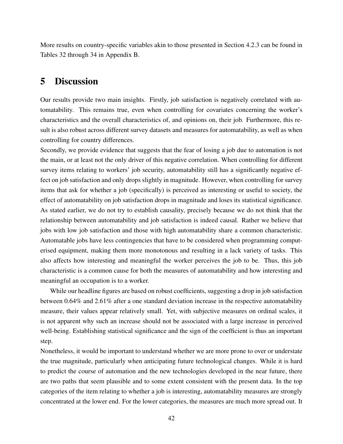More results on country-specific variables akin to those presented in Section 4.2.3 can be found in Tables 32 through 34 in Appendix B.

## 5 Discussion

Our results provide two main insights. Firstly, job satisfaction is negatively correlated with automatability. This remains true, even when controlling for covariates concerning the worker's characteristics and the overall characteristics of, and opinions on, their job. Furthermore, this result is also robust across different survey datasets and measures for automatability, as well as when controlling for country differences.

Secondly, we provide evidence that suggests that the fear of losing a job due to automation is not the main, or at least not the only driver of this negative correlation. When controlling for different survey items relating to workers' job security, automatability still has a significantly negative effect on job satisfaction and only drops slightly in magnitude. However, when controlling for survey items that ask for whether a job (specifically) is perceived as interesting or useful to society, the effect of automatability on job satisfaction drops in magnitude and loses its statistical significance. As stated earlier, we do not try to establish causality, precisely because we do not think that the relationship between automatability and job satisfaction is indeed causal. Rather we believe that jobs with low job satisfaction and those with high automatability share a common characteristic. Automatable jobs have less contingencies that have to be considered when programming computerised equipment, making them more monotonous and resulting in a lack variety of tasks. This also affects how interesting and meaningful the worker perceives the job to be. Thus, this job characteristic is a common cause for both the measures of automatability and how interesting and meaningful an occupation is to a worker.

While our headline figures are based on robust coefficients, suggesting a drop in job satisfaction between 0.64% and 2.61% after a one standard deviation increase in the respective automatability measure, their values appear relatively small. Yet, with subjective measures on ordinal scales, it is not apparent why such an increase should not be associated with a large increase in perceived well-being. Establishing statistical significance and the sign of the coefficient is thus an important step.

Nonetheless, it would be important to understand whether we are more prone to over or understate the true magnitude, particularly when anticipating future technological changes. While it is hard to predict the course of automation and the new technologies developed in the near future, there are two paths that seem plausible and to some extent consistent with the present data. In the top categories of the item relating to whether a job is interesting, automatability measures are strongly concentrated at the lower end. For the lower categories, the measures are much more spread out. It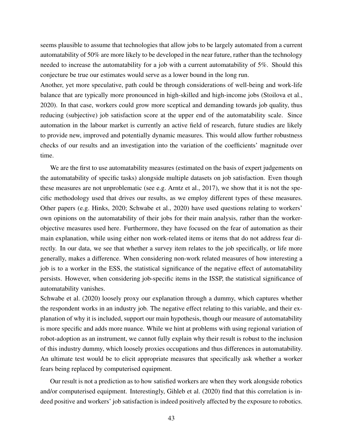seems plausible to assume that technologies that allow jobs to be largely automated from a current automatability of 50% are more likely to be developed in the near future, rather than the technology needed to increase the automatability for a job with a current automatability of 5%. Should this conjecture be true our estimates would serve as a lower bound in the long run.

Another, yet more speculative, path could be through considerations of well-being and work-life balance that are typically more pronounced in high-skilled and high-income jobs (Stoilova et al., 2020). In that case, workers could grow more sceptical and demanding towards job quality, thus reducing (subjective) job satisfaction score at the upper end of the automatability scale. Since automation in the labour market is currently an active field of research, future studies are likely to provide new, improved and potentially dynamic measures. This would allow further robustness checks of our results and an investigation into the variation of the coefficients' magnitude over time.

We are the first to use automatability measures (estimated on the basis of expert judgements on the automatability of specific tasks) alongside multiple datasets on job satisfaction. Even though these measures are not unproblematic (see e.g. Arntz et al., 2017), we show that it is not the specific methodology used that drives our results, as we employ different types of these measures. Other papers (e.g. Hinks, 2020; Schwabe et al., 2020) have used questions relating to workers' own opinions on the automatability of their jobs for their main analysis, rather than the workerobjective measures used here. Furthermore, they have focused on the fear of automation as their main explanation, while using either non work-related items or items that do not address fear directly. In our data, we see that whether a survey item relates to the job specifically, or life more generally, makes a difference. When considering non-work related measures of how interesting a job is to a worker in the ESS, the statistical significance of the negative effect of automatability persists. However, when considering job-specific items in the ISSP, the statistical significance of automatability vanishes.

Schwabe et al. (2020) loosely proxy our explanation through a dummy, which captures whether the respondent works in an industry job. The negative effect relating to this variable, and their explanation of why it is included, support our main hypothesis, though our measure of automatability is more specific and adds more nuance. While we hint at problems with using regional variation of robot-adoption as an instrument, we cannot fully explain why their result is robust to the inclusion of this industry dummy, which loosely proxies occupations and thus differences in automatability. An ultimate test would be to elicit appropriate measures that specifically ask whether a worker fears being replaced by computerised equipment.

Our result is not a prediction as to how satisfied workers are when they work alongside robotics and/or computerised equipment. Interestingly, Gihleb et al. (2020) find that this correlation is indeed positive and workers' job satisfaction is indeed positively affected by the exposure to robotics.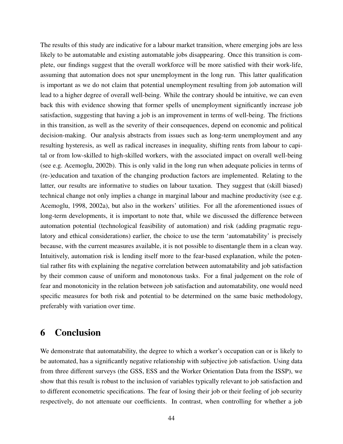The results of this study are indicative for a labour market transition, where emerging jobs are less likely to be automatable and existing automatable jobs disappearing. Once this transition is complete, our findings suggest that the overall workforce will be more satisfied with their work-life, assuming that automation does not spur unemployment in the long run. This latter qualification is important as we do not claim that potential unemployment resulting from job automation will lead to a higher degree of overall well-being. While the contrary should be intuitive, we can even back this with evidence showing that former spells of unemployment significantly increase job satisfaction, suggesting that having a job is an improvement in terms of well-being. The frictions in this transition, as well as the severity of their consequences, depend on economic and political decision-making. Our analysis abstracts from issues such as long-term unemployment and any resulting hysteresis, as well as radical increases in inequality, shifting rents from labour to capital or from low-skilled to high-skilled workers, with the associated impact on overall well-being (see e.g. Acemoglu, 2002b). This is only valid in the long run when adequate policies in terms of (re-)education and taxation of the changing production factors are implemented. Relating to the latter, our results are informative to studies on labour taxation. They suggest that (skill biased) technical change not only implies a change in marginal labour and machine productivity (see e.g. Acemoglu, 1998, 2002a), but also in the workers' utilities. For all the aforementioned issues of long-term developments, it is important to note that, while we discussed the difference between automation potential (technological feasibility of automation) and risk (adding pragmatic regulatory and ethical considerations) earlier, the choice to use the term 'automatability' is precisely because, with the current measures available, it is not possible to disentangle them in a clean way. Intuitively, automation risk is lending itself more to the fear-based explanation, while the potential rather fits with explaining the negative correlation between automatability and job satisfaction by their common cause of uniform and monotonous tasks. For a final judgement on the role of fear and monotonicity in the relation between job satisfaction and automatability, one would need specific measures for both risk and potential to be determined on the same basic methodology, preferably with variation over time.

# 6 Conclusion

We demonstrate that automatability, the degree to which a worker's occupation can or is likely to be automated, has a significantly negative relationship with subjective job satisfaction. Using data from three different surveys (the GSS, ESS and the Worker Orientation Data from the ISSP), we show that this result is robust to the inclusion of variables typically relevant to job satisfaction and to different econometric specifications. The fear of losing their job or their feeling of job security respectively, do not attenuate our coefficients. In contrast, when controlling for whether a job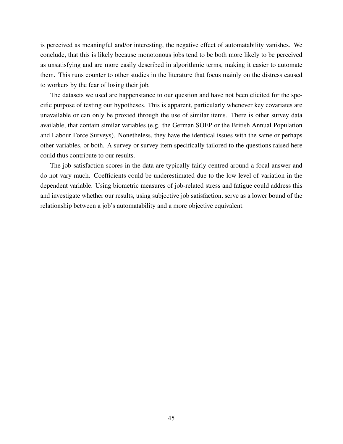is perceived as meaningful and/or interesting, the negative effect of automatability vanishes. We conclude, that this is likely because monotonous jobs tend to be both more likely to be perceived as unsatisfying and are more easily described in algorithmic terms, making it easier to automate them. This runs counter to other studies in the literature that focus mainly on the distress caused to workers by the fear of losing their job.

The datasets we used are happenstance to our question and have not been elicited for the specific purpose of testing our hypotheses. This is apparent, particularly whenever key covariates are unavailable or can only be proxied through the use of similar items. There is other survey data available, that contain similar variables (e.g. the German SOEP or the British Annual Population and Labour Force Surveys). Nonetheless, they have the identical issues with the same or perhaps other variables, or both. A survey or survey item specifically tailored to the questions raised here could thus contribute to our results.

The job satisfaction scores in the data are typically fairly centred around a focal answer and do not vary much. Coefficients could be underestimated due to the low level of variation in the dependent variable. Using biometric measures of job-related stress and fatigue could address this and investigate whether our results, using subjective job satisfaction, serve as a lower bound of the relationship between a job's automatability and a more objective equivalent.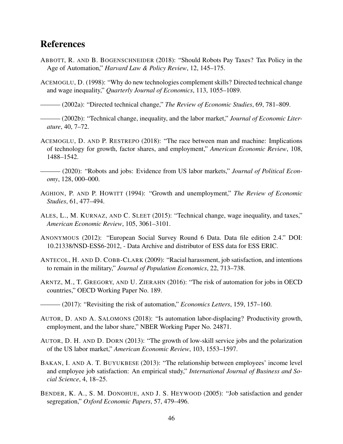# References

- ABBOTT, R. AND B. BOGENSCHNEIDER (2018): "Should Robots Pay Taxes? Tax Policy in the Age of Automation," *Harvard Law & Policy Review*, 12, 145–175.
- ACEMOGLU, D. (1998): "Why do new technologies complement skills? Directed technical change and wage inequality," *Quarterly Journal of Economics*, 113, 1055–1089.

——— (2002a): "Directed technical change," *The Review of Economic Studies*, 69, 781–809.

 $-$  (2002b): "Technical change, inequality, and the labor market," *Journal of Economic Literature*, 40, 7–72.

- ACEMOGLU, D. AND P. RESTREPO (2018): "The race between man and machine: Implications of technology for growth, factor shares, and employment," *American Economic Review*, 108, 1488–1542.
- ——— (2020): "Robots and jobs: Evidence from US labor markets," *Journal of Political Economy*, 128, 000–000.
- AGHION, P. AND P. HOWITT (1994): "Growth and unemployment," *The Review of Economic Studies*, 61, 477–494.
- ALES, L., M. KURNAZ, AND C. SLEET (2015): "Technical change, wage inequality, and taxes," *American Economic Review*, 105, 3061–3101.
- ANONYMOUS (2012): "European Social Survey Round 6 Data. Data file edition 2.4." DOI: 10.21338/NSD-ESS6-2012, - Data Archive and distributor of ESS data for ESS ERIC.
- ANTECOL, H. AND D. COBB-CLARK (2009): "Racial harassment, job satisfaction, and intentions to remain in the military," *Journal of Population Economics*, 22, 713–738.
- ARNTZ, M., T. GREGORY, AND U. ZIERAHN (2016): "The risk of automation for jobs in OECD countries," OECD Working Paper No. 189.
	- ——— (2017): "Revisiting the risk of automation," *Economics Letters*, 159, 157–160.
- AUTOR, D. AND A. SALOMONS (2018): "Is automation labor-displacing? Productivity growth, employment, and the labor share," NBER Working Paper No. 24871.
- AUTOR, D. H. AND D. DORN (2013): "The growth of low-skill service jobs and the polarization of the US labor market," *American Economic Review*, 103, 1553–1597.
- BAKAN, I. AND A. T. BUYUKBESE (2013): "The relationship between employees' income level and employee job satisfaction: An empirical study," *International Journal of Business and Social Science*, 4, 18–25.
- BENDER, K. A., S. M. DONOHUE, AND J. S. HEYWOOD (2005): "Job satisfaction and gender segregation," *Oxford Economic Papers*, 57, 479–496.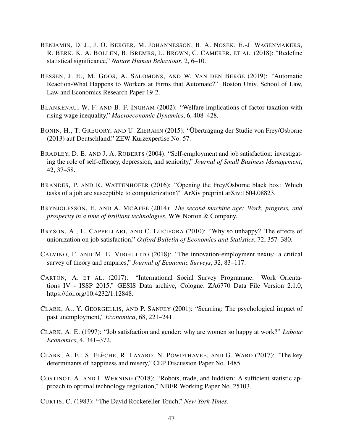- BENJAMIN, D. J., J. O. BERGER, M. JOHANNESSON, B. A. NOSEK, E.-J. WAGENMAKERS, R. BERK, K. A. BOLLEN, B. BREMBS, L. BROWN, C. CAMERER, ET AL. (2018): "Redefine statistical significance," *Nature Human Behaviour*, 2, 6–10.
- BESSEN, J. E., M. GOOS, A. SALOMONS, AND W. VAN DEN BERGE (2019): "Automatic Reaction-What Happens to Workers at Firms that Automate?" Boston Univ. School of Law, Law and Economics Research Paper 19-2.
- BLANKENAU, W. F. AND B. F. INGRAM (2002): "Welfare implications of factor taxation with rising wage inequality," *Macroeconomic Dynamics*, 6, 408–428.
- BONIN, H., T. GREGORY, AND U. ZIERAHN (2015): "Übertragung der Studie von Frey/Osborne (2013) auf Deutschland," ZEW Kurzexpertise No. 57.
- BRADLEY, D. E. AND J. A. ROBERTS (2004): "Self-employment and job satisfaction: investigating the role of self-efficacy, depression, and seniority," *Journal of Small Business Management*, 42, 37–58.
- BRANDES, P. AND R. WATTENHOFER (2016): "Opening the Frey/Osborne black box: Which tasks of a job are susceptible to computerization?" ArXiv preprint arXiv:1604.08823.
- BRYNJOLFSSON, E. AND A. MCAFEE (2014): *The second machine age: Work, progress, and prosperity in a time of brilliant technologies*, WW Norton & Company.
- BRYSON, A., L. CAPPELLARI, AND C. LUCIFORA (2010): "Why so unhappy? The effects of unionization on job satisfaction," *Oxford Bulletin of Economics and Statistics*, 72, 357–380.
- CALVINO, F. AND M. E. VIRGILLITO (2018): "The innovation-employment nexus: a critical survey of theory and empirics," *Journal of Economic Surveys*, 32, 83–117.
- CARTON, A. ET AL. (2017): "International Social Survey Programme: Work Orientations IV - ISSP 2015," GESIS Data archive, Cologne. ZA6770 Data File Version 2.1.0, https://doi.org/10.4232/1.12848.
- CLARK, A., Y. GEORGELLIS, AND P. SANFEY (2001): "Scarring: The psychological impact of past unemployment," *Economica*, 68, 221–241.
- CLARK, A. E. (1997): "Job satisfaction and gender: why are women so happy at work?" *Labour Economics*, 4, 341–372.
- CLARK, A. E., S. FLECHE, R. LAYARD, N. POWDTHAVEE, AND G. WARD (2017): "The key determinants of happiness and misery," CEP Discussion Paper No. 1485.
- COSTINOT, A. AND I. WERNING (2018): "Robots, trade, and luddism: A sufficient statistic approach to optimal technology regulation," NBER Working Paper No. 25103.
- CURTIS, C. (1983): "The David Rockefeller Touch," *New York Times*.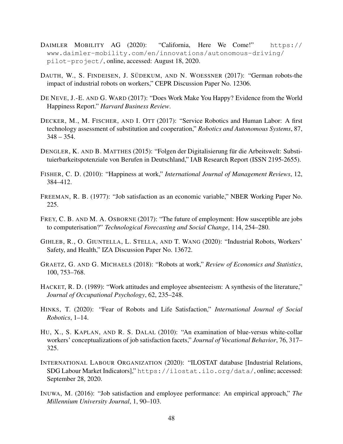- DAIMLER MOBILITY AG (2020): "California, Here We Come!" https:// www.daimler-mobility.com/en/innovations/autonomous-driving/ pilot-project/, online, accessed: August 18, 2020.
- DAUTH, W., S. FINDEISEN, J. SÜDEKUM, AND N. WOESSNER (2017): "German robots-the impact of industrial robots on workers," CEPR Discussion Paper No. 12306.
- DE NEVE, J.-E. AND G. WARD (2017): "Does Work Make You Happy? Evidence from the World Happiness Report." *Harvard Business Review*.
- DECKER, M., M. FISCHER, AND I. OTT (2017): "Service Robotics and Human Labor: A first technology assessment of substitution and cooperation," *Robotics and Autonomous Systems*, 87,  $348 - 354.$
- DENGLER, K. AND B. MATTHES (2015): "Folgen der Digitalisierung für die Arbeitswelt: Substituierbarkeitspotenziale von Berufen in Deutschland," IAB Research Report (ISSN 2195-2655).
- FISHER, C. D. (2010): "Happiness at work," *International Journal of Management Reviews*, 12, 384–412.
- FREEMAN, R. B. (1977): "Job satisfaction as an economic variable," NBER Working Paper No. 225.
- FREY, C. B. AND M. A. OSBORNE (2017): "The future of employment: How susceptible are jobs to computerisation?" *Technological Forecasting and Social Change*, 114, 254–280.
- GIHLEB, R., O. GIUNTELLA, L. STELLA, AND T. WANG (2020): "Industrial Robots, Workers' Safety, and Health," IZA Discussion Paper No. 13672.
- GRAETZ, G. AND G. MICHAELS (2018): "Robots at work," *Review of Economics and Statistics*, 100, 753–768.
- HACKET, R. D. (1989): "Work attitudes and employee absenteeism: A synthesis of the literature," *Journal of Occupational Psychology*, 62, 235–248.
- HINKS, T. (2020): "Fear of Robots and Life Satisfaction," *International Journal of Social Robotics*, 1–14.
- HU, X., S. KAPLAN, AND R. S. DALAL (2010): "An examination of blue-versus white-collar workers' conceptualizations of job satisfaction facets," *Journal of Vocational Behavior*, 76, 317– 325.
- INTERNATIONAL LABOUR ORGANIZATION (2020): "ILOSTAT database [Industrial Relations, SDG Labour Market Indicators]," https://ilostat.ilo.org/data/, online; accessed: September 28, 2020.
- INUWA, M. (2016): "Job satisfaction and employee performance: An empirical approach," *The Millennium University Journal*, 1, 90–103.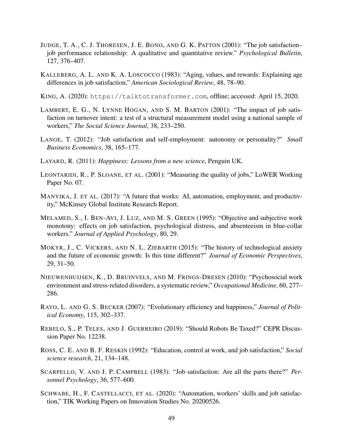- JUDGE, T. A., C. J. THORESEN, J. E. BONO, AND G. K. PATTON (2001): "The job satisfaction– job performance relationship: A qualitative and quantitative review." *Psychological Bulletin*, 127, 376–407.
- KALLEBERG, A. L. AND K. A. LOSCOCCO (1983): "Aging, values, and rewards: Explaining age differences in job satisfaction," *American Sociological Review*, 48, 78–90.

KING, A. (2020): https://talktotransformer.com, offline; accessed: April 15, 2020.

- LAMBERT, E. G., N. LYNNE HOGAN, AND S. M. BARTON (2001): "The impact of job satisfaction on turnover intent: a test of a structural measurement model using a national sample of workers," *The Social Science Journal*, 38, 233–250.
- LANGE, T. (2012): "Job satisfaction and self-employment: autonomy or personality?" *Small Business Economics*, 38, 165–177.
- LAYARD, R. (2011): *Happiness: Lessons from a new science*, Penguin UK.
- LEONTARIDI, R., P. SLOANE, ET AL. (2001): "Measuring the quality of jobs," LoWER Working Paper No. 07.
- MANYIKA, J. ET AL. (2017): "A future that works: AI, automation, employment, and productivity," McKinsey Global Institute Research Report.
- MELAMED, S., I. BEN-AVI, J. LUZ, AND M. S. GREEN (1995): "Objective and subjective work monotony: effects on job satisfaction, psychological distress, and absenteeism in blue-collar workers." *Journal of Applied Psychology*, 80, 29.
- MOKYR, J., C. VICKERS, AND N. L. ZIEBARTH (2015): "The history of technological anxiety and the future of economic growth: Is this time different?" *Journal of Economic Perspectives*, 29, 31–50.
- NIEUWENHUIJSEN, K., D. BRUINVELS, AND M. FRINGS-DRESEN (2010): "Psychosocial work environment and stress-related disorders, a systematic review," *Occupational Medicine*, 60, 277– 286.
- RAYO, L. AND G. S. BECKER (2007): "Evolutionary efficiency and happiness," *Journal of Political Economy*, 115, 302–337.
- REBELO, S., P. TELES, AND J. GUERREIRO (2019): "Should Robots Be Taxed?" CEPR Discussion Paper No. 12238.
- ROSS, C. E. AND B. F. RESKIN (1992): "Education, control at work, and job satisfaction," *Social science research*, 21, 134–148.
- SCARPELLO, V. AND J. P. CAMPBELL (1983): "Job satisfaction: Are all the parts there?" *Personnel Psychology*, 36, 577–600.
- SCHWABE, H., F. CASTELLACCI, ET AL. (2020): "Automation, workers' skills and job satisfaction," TIK Working Papers on Innovation Studies No. 20200526.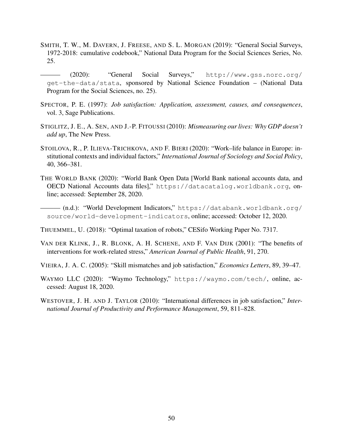- SMITH, T. W., M. DAVERN, J. FREESE, AND S. L. MORGAN (2019): "General Social Surveys, 1972-2018: cumulative codebook," National Data Program for the Social Sciences Series, No. 25.
- ——— (2020): "General Social Surveys," http://www.gss.norc.org/ get-the-data/stata, sponsored by National Science Foundation – (National Data Program for the Social Sciences, no. 25).
- SPECTOR, P. E. (1997): *Job satisfaction: Application, assessment, causes, and consequences*, vol. 3, Sage Publications.
- STIGLITZ, J. E., A. SEN, AND J.-P. FITOUSSI (2010): *Mismeasuring our lives: Why GDP doesn't add up*, The New Press.
- STOILOVA, R., P. ILIEVA-TRICHKOVA, AND F. BIERI (2020): "Work–life balance in Europe: institutional contexts and individual factors," *International Journal of Sociology and Social Policy*, 40, 366–381.
- THE WORLD BANK (2020): "World Bank Open Data [World Bank national accounts data, and OECD National Accounts data files]," https://datacatalog.worldbank.org, online; accessed: September 28, 2020.

——— (n.d.): "World Development Indicators," https://databank.worldbank.org/ source/world-development-indicators, online; accessed: October 12, 2020.

THUEMMEL, U. (2018): "Optimal taxation of robots," CESifo Working Paper No. 7317.

- VAN DER KLINK, J., R. BLONK, A. H. SCHENE, AND F. VAN DIJK (2001): "The benefits of interventions for work-related stress," *American Journal of Public Health*, 91, 270.
- VIEIRA, J. A. C. (2005): "Skill mismatches and job satisfaction," *Economics Letters*, 89, 39–47.
- WAYMO LLC (2020): "Waymo Technology," https://waymo.com/tech/, online, accessed: August 18, 2020.
- WESTOVER, J. H. AND J. TAYLOR (2010): "International differences in job satisfaction," *International Journal of Productivity and Performance Management*, 59, 811–828.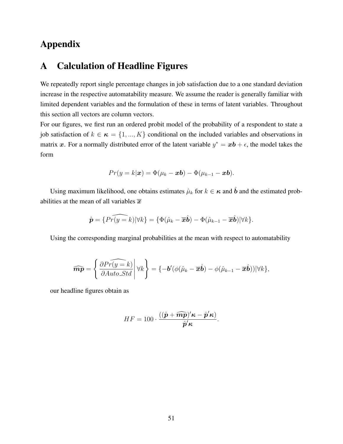# Appendix

## A Calculation of Headline Figures

We repeatedly report single percentage changes in job satisfaction due to a one standard deviation increase in the respective automatability measure. We assume the reader is generally familiar with limited dependent variables and the formulation of these in terms of latent variables. Throughout this section all vectors are column vectors.

For our figures, we first run an ordered probit model of the probability of a respondent to state a job satisfaction of  $k \in \kappa = \{1, ..., K\}$  conditional on the included variables and observations in matrix x. For a normally distributed error of the latent variable  $y^* = x\mathbf{b} + \epsilon$ , the model takes the form

$$
Pr(y = k|\boldsymbol{x}) = \Phi(\mu_k - \boldsymbol{x}\boldsymbol{b}) - \Phi(\mu_{k-1} - \boldsymbol{x}\boldsymbol{b}).
$$

Using maximum likelihood, one obtains estimates  $\hat{\mu}_k$  for  $k \in \kappa$  and  $\hat{b}$  and the estimated probabilities at the mean of all variables  $\bar{x}$ 

$$
\hat{\boldsymbol{p}} = \{\widehat{Pr(y=k)} | \forall k\} = \{\Phi(\hat{\mu}_k - \overline{\boldsymbol{x}}\hat{\boldsymbol{b}}) - \Phi(\hat{\mu}_{k-1} - \overline{\boldsymbol{x}}\hat{\boldsymbol{b}})| \forall k\}.
$$

Using the corresponding marginal probabilities at the mean with respect to automatability

$$
\widehat{\boldsymbol{m}\boldsymbol{p}} = \left\{ \frac{\partial \widehat{Pr(y=k)}}{\partial Auto\_Std} \middle| \forall k \right\} = \left\{ -\boldsymbol{b}'(\phi(\hat{\mu}_k - \overline{\boldsymbol{x}}\hat{\boldsymbol{b}}) - \phi(\hat{\mu}_{k-1} - \overline{\boldsymbol{x}}\hat{\boldsymbol{b}})) | \forall k \right\},\
$$

our headline figures obtain as

$$
HF = 100 \cdot \frac{((\hat{\boldsymbol{p}} + \widehat{\boldsymbol{mp}})' \boldsymbol{\kappa} - \hat{\boldsymbol{p}}' \boldsymbol{\kappa})}{\hat{\boldsymbol{p}}' \boldsymbol{\kappa}}.
$$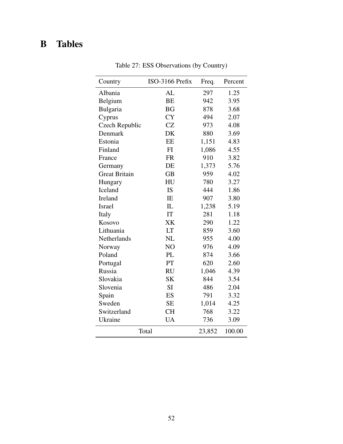# B Tables

| Country               | ISO-3166 Prefix | Freq.  | Percent |
|-----------------------|-----------------|--------|---------|
| Albania               | AL              | 297    | 1.25    |
| Belgium               | <b>BE</b>       | 942    | 3.95    |
| Bulgaria              | <b>BG</b>       | 878    | 3.68    |
| Cyprus                | <b>CY</b>       | 494    | 2.07    |
| <b>Czech Republic</b> | <b>CZ</b>       | 973    | 4.08    |
| Denmark               | DK              | 880    | 3.69    |
| Estonia               | EE              | 1,151  | 4.83    |
| Finland               | FI              | 1,086  | 4.55    |
| France                | <b>FR</b>       | 910    | 3.82    |
| Germany               | DE              | 1,373  | 5.76    |
| <b>Great Britain</b>  | <b>GB</b>       | 959    | 4.02    |
| Hungary               | HU              | 780    | 3.27    |
| Iceland               | IS              | 444    | 1.86    |
| Ireland               | IE              | 907    | 3.80    |
| Israel                | IL              | 1,238  | 5.19    |
| Italy                 | IT              | 281    | 1.18    |
| Kosovo                | XK              | 290    | 1.22    |
| Lithuania             | LT              | 859    | 3.60    |
| Netherlands           | <b>NL</b>       | 955    | 4.00    |
| Norway                | NO              | 976    | 4.09    |
| Poland                | PL              | 874    | 3.66    |
| Portugal              | PT              | 620    | 2.60    |
| Russia                | <b>RU</b>       | 1,046  | 4.39    |
| Slovakia              | <b>SK</b>       | 844    | 3.54    |
| Slovenia              | <b>SI</b>       | 486    | 2.04    |
| Spain                 | ES              | 791    | 3.32    |
| Sweden                | <b>SE</b>       | 1,014  | 4.25    |
| Switzerland           | <b>CH</b>       | 768    | 3.22    |
| Ukraine               | <b>UA</b>       | 736    | 3.09    |
|                       | Total           | 23,852 | 100.00  |

Table 27: ESS Observations (by Country)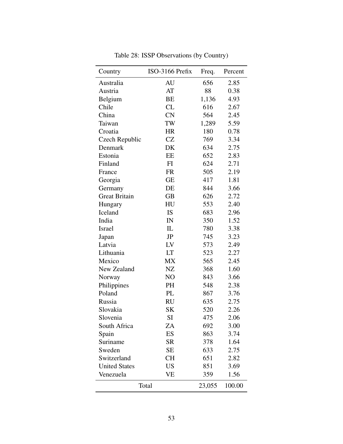| Country              | ISO-3166 Prefix | Freq.  | Percent |
|----------------------|-----------------|--------|---------|
| Australia            | AU              | 656    | 2.85    |
| Austria              | AT              | 88     | 0.38    |
| Belgium              | BE              | 1,136  | 4.93    |
| Chile                | CL              | 616    | 2.67    |
| China                | <b>CN</b>       | 564    | 2.45    |
| Taiwan               | TW              | 1,289  | 5.59    |
| Croatia              | <b>HR</b>       | 180    | 0.78    |
| Czech Republic       | <b>CZ</b>       | 769    | 3.34    |
| Denmark              | DK              | 634    | 2.75    |
| Estonia              | EE              | 652    | 2.83    |
| Finland              | FI              | 624    | 2.71    |
| France               | <b>FR</b>       | 505    | 2.19    |
| Georgia              | <b>GE</b>       | 417    | 1.81    |
| Germany              | DE              | 844    | 3.66    |
| <b>Great Britain</b> | <b>GB</b>       | 626    | 2.72    |
| Hungary              | HU              | 553    | 2.40    |
| Iceland              | IS              | 683    | 2.96    |
| India                | IN              | 350    | 1.52    |
| <b>Israel</b>        | IL              | 780    | 3.38    |
| Japan                | JP              | 745    | 3.23    |
| Latvia               | LV              | 573    | 2.49    |
| Lithuania            | LT              | 523    | 2.27    |
| Mexico               | MX              | 565    | 2.45    |
| New Zealand          | NZ              | 368    | 1.60    |
| Norway               | NO              | 843    | 3.66    |
| Philippines          | PH              | 548    | 2.38    |
| Poland               | PL              | 867    | 3.76    |
| Russia               | <b>RU</b>       | 635    | 2.75    |
| Slovakia             | <b>SK</b>       | 520    | 2.26    |
| Slovenia             | <b>SI</b>       | 475    | 2.06    |
| South Africa         | ZA              | 692    | 3.00    |
| Spain                | ES              | 863    | 3.74    |
| Suriname             | <b>SR</b>       | 378    | 1.64    |
| Sweden               | <b>SE</b>       | 633    | 2.75    |
| Switzerland          | <b>CH</b>       | 651    | 2.82    |
| <b>United States</b> | US              | 851    | 3.69    |
| Venezuela            | VE              | 359    | 1.56    |
|                      | Total           | 23,055 | 100.00  |

Table 28: ISSP Observations (by Country)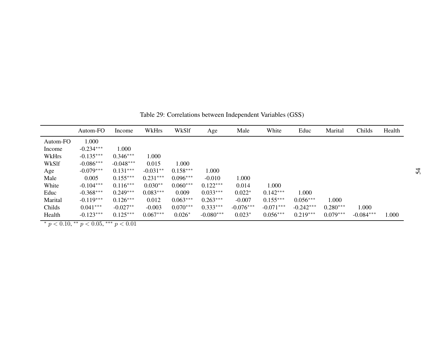|          | Autom-FO    | Income      | WkHrs      | WkSlf      | Age         | Male        | White       | Educ        | Marital    | Childs      | Health |
|----------|-------------|-------------|------------|------------|-------------|-------------|-------------|-------------|------------|-------------|--------|
| Autom-FO | 1.000       |             |            |            |             |             |             |             |            |             |        |
| Income   | $-0.234***$ | 1.000       |            |            |             |             |             |             |            |             |        |
| WkHrs    | $-0.135***$ | $0.346***$  | 1.000      |            |             |             |             |             |            |             |        |
| WkSlf    | $-0.086***$ | $-0.048***$ | 0.015      | 1.000      |             |             |             |             |            |             |        |
| Age      | $-0.079***$ | $0.131***$  | $-0.031**$ | $0.158***$ | 1.000       |             |             |             |            |             |        |
| Male     | 0.005       | $0.155***$  | $0.231***$ | $0.096***$ | $-0.010$    | 1.000       |             |             |            |             |        |
| White    | $-0.104***$ | $0.116***$  | $0.030**$  | $0.060***$ | $0.122***$  | 0.014       | 1.000       |             |            |             |        |
| Educ     | $-0.368***$ | $0.249***$  | $0.083***$ | 0.009      | $0.033***$  | $0.022*$    | $0.142***$  | 1.000       |            |             |        |
| Marital  | $-0.119***$ | $0.126***$  | 0.012      | $0.063***$ | $0.263***$  | $-0.007$    | $0.155***$  | $0.056***$  | 1.000      |             |        |
| Childs   | $0.041***$  | $-0.027**$  | $-0.003$   | $0.070***$ | $0.333***$  | $-0.076***$ | $-0.071***$ | $-0.242***$ | $0.280***$ | 1.000       |        |
| Health   | $-0.123***$ | $0.125***$  | $0.067***$ | $0.026*$   | $-0.080***$ | $0.023*$    | $0.056***$  | $0.219***$  | $0.079***$ | $-0.084***$ | 1.000  |

Table 29: Correlations between Independent Variables (GSS)

\*  $p < 0.10$ , \*\*  $p < 0.05$ , \*\*\*  $p < 0.01$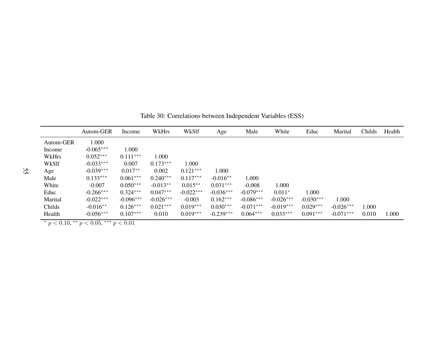|           | Autom-GER   | Income      | WkHrs       | WkSlf       | Age         | Male        | White       | Educ        | Marital     | Childs | Health |
|-----------|-------------|-------------|-------------|-------------|-------------|-------------|-------------|-------------|-------------|--------|--------|
| Autom-GER | 1.000       |             |             |             |             |             |             |             |             |        |        |
| Income    | $-0.065***$ | 1.000       |             |             |             |             |             |             |             |        |        |
| WkHrs     | $0.052***$  | $0.111***$  | 1.000       |             |             |             |             |             |             |        |        |
| WkSlf     | $-0.033***$ | 0.007       | $0.173***$  | 1.000       |             |             |             |             |             |        |        |
| Age       | $-0.039***$ | $0.017**$   | 0.002       | $0.121***$  | 1.000       |             |             |             |             |        |        |
| Male      | $0.133***$  | $0.061***$  | $0.240***$  | $0.117***$  | $-0.016**$  | 1.000       |             |             |             |        |        |
| White     | $-0.007$    | $0.050***$  | $-0.013**$  | $0.015**$   | $0.031***$  | $-0.008$    | 1.000       |             |             |        |        |
| Educ      | $-0.266***$ | $0.324***$  | $0.047***$  | $-0.022***$ | $-0.036***$ | $-0.079***$ | $0.011*$    | 1.000       |             |        |        |
| Marital   | $-0.022***$ | $-0.096***$ | $-0.026***$ | $-0.003$    | $0.162***$  | $-0.086***$ | $-0.026***$ | $-0.030***$ | 1.000       |        |        |
| Childs    | $-0.016**$  | $0.126***$  | $0.021***$  | $0.019***$  | $0.030***$  | $-0.071***$ | $-0.019***$ | $0.029***$  | $-0.026***$ | 1.000  |        |
| Health    | $-0.056***$ | $0.107***$  | 0.010       | $0.019***$  | $-0.239***$ | $0.064***$  | $0.033***$  | $0.091***$  | $-0.071***$ | 0.010  | 1.000  |

Table 30: Correlations between Independent Variables (ESS)

 $*$  p < 0.10,  $*$  p < 0.05,  $*$   $*$  p < 0.01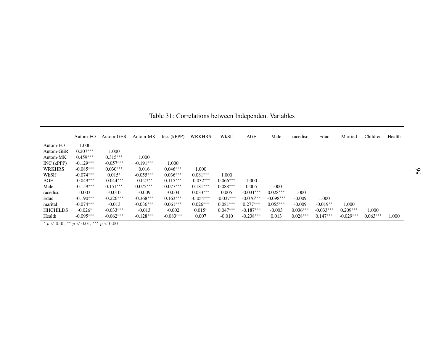|                 | Autom-FO    | Autom-GER   | Autom-MK    | Inc. (kPPP) | <b>WRKHRS</b> | WkSlf       | AGE         | Male        | racedisc   | Educ        | Married     | Children   | Health |
|-----------------|-------------|-------------|-------------|-------------|---------------|-------------|-------------|-------------|------------|-------------|-------------|------------|--------|
| Autom-FO        | 1.000       |             |             |             |               |             |             |             |            |             |             |            |        |
| Autom-GER       | $0.207***$  | 1.000       |             |             |               |             |             |             |            |             |             |            |        |
| Autom-MK        | $0.459***$  | $0.315***$  | 1.000       |             |               |             |             |             |            |             |             |            |        |
| INC (kPPP)      | $-0.129***$ | $-0.057***$ | $-0.191***$ | 1.000       |               |             |             |             |            |             |             |            |        |
| <b>WRKHRS</b>   | $-0.085***$ | $0.030***$  | 0.016       | $0.046***$  | 1.000         |             |             |             |            |             |             |            |        |
| WkSlf           | $-0.074***$ | $0.015*$    | $-0.055***$ | $0.036***$  | $0.081***$    | 1.000       |             |             |            |             |             |            |        |
| AGE             | $-0.049***$ | $-0.044***$ | $-0.027**$  | $0.115***$  | $-0.032***$   | $0.066***$  | .000        |             |            |             |             |            |        |
| Male            | $-0.159***$ | $0.151***$  | $0.075***$  | $0.077***$  | $0.181***$    | $0.088***$  | 0.005       | 1.000       |            |             |             |            |        |
| racedisc        | 0.003       | $-0.010$    | $-0.009$    | $-0.004$    | $0.033***$    | 0.005       | $-0.031***$ | $0.028***$  | 1.000      |             |             |            |        |
| Educ            | $-0.190***$ | $-0.226***$ | $-0.368***$ | $0.163***$  | $-0.054***$   | $-0.037***$ | $-0.076***$ | $-0.098***$ | $-0.009$   | 1.000       |             |            |        |
| marital         | $-0.074***$ | $-0.013$    | $-0.036***$ | $0.061***$  | $0.026***$    | $0.081***$  | $0.277***$  | $0.055***$  | $-0.009$   | $-0.019**$  | 1.000       |            |        |
| <b>HHCHILDS</b> | $-0.026*$   | $-0.033***$ | $-0.013$    | $-0.002$    | $0.015*$      | $0.047***$  | $-0.187***$ | $-0.003$    | $0.036***$ | $-0.033***$ | $0.209***$  | 1.000      |        |
| Health          | $-0.095***$ | $-0.062***$ | $-0.128***$ | $-0.083***$ | 0.007         | $-0.010$    | $-0.238***$ | 0.013       | $0.028***$ | $0.147***$  | $-0.029***$ | $0.063***$ | 1.000  |

Table 31: Correlations between Independent Variables

 $\frac{p}{p} < 0.05, \frac{p}{p} < 0.01, \frac{p}{p} < 0.001$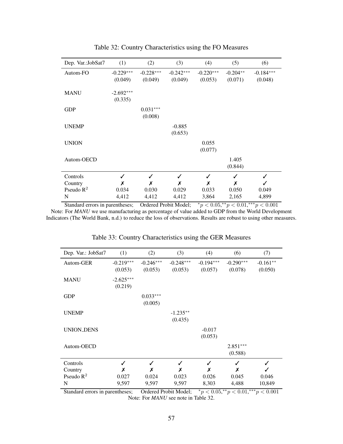| Dep. Var.: JobSat7 | (1)                    | (2)                    | (3)                    | (4)                    | (5)                   | (6)                    |
|--------------------|------------------------|------------------------|------------------------|------------------------|-----------------------|------------------------|
| Autom-FO           | $-0.229***$<br>(0.049) | $-0.228***$<br>(0.049) | $-0.242***$<br>(0.049) | $-0.220***$<br>(0.053) | $-0.204**$<br>(0.071) | $-0.184***$<br>(0.048) |
| <b>MANU</b>        | $-2.692***$<br>(0.335) |                        |                        |                        |                       |                        |
| <b>GDP</b>         |                        | $0.031***$<br>(0.008)  |                        |                        |                       |                        |
| <b>UNEMP</b>       |                        |                        | $-0.885$<br>(0.653)    |                        |                       |                        |
| <b>UNION</b>       |                        |                        |                        | 0.055<br>(0.077)       |                       |                        |
| Autom-OECD         |                        |                        |                        |                        | 1.405<br>(0.844)      |                        |
| Controls           | ✓                      | ✓                      | ✓                      | ✓                      | ✓                     | ✓                      |
| Country            | Х                      | Х                      | Х                      | Х                      | X                     | ✓                      |
| Pseudo $R^2$       | 0.034                  | 0.030                  | 0.029                  | 0.033                  | 0.050                 | 0.049                  |
| N                  | 4,412                  | 4,412                  | 4,412                  | 3,864                  | 2,165                 | 4,899                  |

Table 32: Country Characteristics using the FO Measures

Standard errors in parentheses; Ordered Probit Model;  $\frac{*p}{<}0.05, \frac{*p}{<}0.01, \frac{***}{<}0.001$ Note: For *MANU* we use manufacturing as percentage of value added to GDP from the World Development Indicators (The World Bank, n.d.) to reduce the loss of observations. Results are robust to using other measures.

| Dep. Var.: JobSat7 | (1)                    | (2)                    | (3)                    | (4)                    | (6)                    | (7)                   |
|--------------------|------------------------|------------------------|------------------------|------------------------|------------------------|-----------------------|
| Autom-GER          | $-0.219***$<br>(0.053) | $-0.246***$<br>(0.053) | $-0.248***$<br>(0.053) | $-0.194***$<br>(0.057) | $-0.290***$<br>(0.078) | $-0.161**$<br>(0.050) |
| <b>MANU</b>        | $-2.625***$<br>(0.219) |                        |                        |                        |                        |                       |
| <b>GDP</b>         |                        | $0.033***$<br>(0.005)  |                        |                        |                        |                       |
| <b>UNEMP</b>       |                        |                        | $-1.235**$<br>(0.435)  |                        |                        |                       |
| <b>UNION_DENS</b>  |                        |                        |                        | $-0.017$<br>(0.053)    |                        |                       |
| Autom-OECD         |                        |                        |                        |                        | $2.851***$<br>(0.588)  |                       |
| Controls           | ✓                      | ✓                      | ✓                      | ✓                      | ✓                      |                       |
| Country            | x                      | X                      | Х                      | Х                      | Х                      |                       |
| Pseudo $R^2$       | 0.027                  | 0.024                  | 0.023                  | 0.026                  | 0.045                  | 0.046                 |
| N                  | 9,597                  | 9,597                  | 9,597                  | 8,303                  | 4,488                  | 10,849                |

Table 33: Country Characteristics using the GER Measures

Standard errors in parentheses; Ordered Probit Model;  $\overline{\phantom{a}}^*p < 0.01, \overline{\phantom{a}}^*p < 0.001$ Note: For *MANU* see note in Table 32.